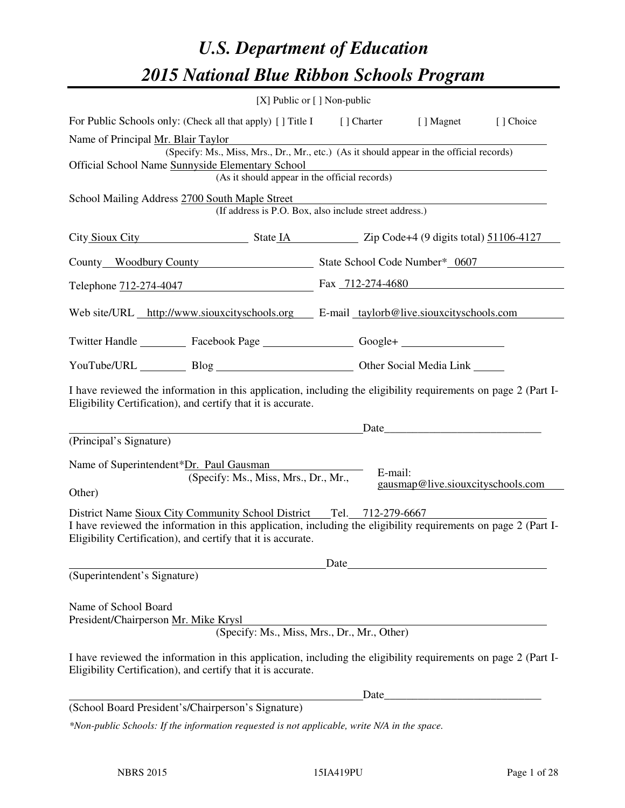# *U.S. Department of Education 2015 National Blue Ribbon Schools Program*

|                                                                                                                                                                                                                                     | [X] Public or [] Non-public                                                                                                                                                                                                                            |       |         |                                   |            |
|-------------------------------------------------------------------------------------------------------------------------------------------------------------------------------------------------------------------------------------|--------------------------------------------------------------------------------------------------------------------------------------------------------------------------------------------------------------------------------------------------------|-------|---------|-----------------------------------|------------|
|                                                                                                                                                                                                                                     | For Public Schools only: (Check all that apply) [] Title I [] Charter [] Magnet                                                                                                                                                                        |       |         |                                   | [ ] Choice |
| Name of Principal Mr. Blair Taylor<br>(Specify: Ms., Miss, Mrs., Dr., Mr., etc.) (As it should appear in the official records)<br>Official School Name Sunnyside Elementary School<br>(As it should appear in the official records) |                                                                                                                                                                                                                                                        |       |         |                                   |            |
|                                                                                                                                                                                                                                     | School Mailing Address 2700 South Maple Street<br>(If address is P.O. Box, also include street address.)                                                                                                                                               |       |         |                                   |            |
|                                                                                                                                                                                                                                     | City Sioux City State 14 State 14 State 14 State 14 State 14 O digits total 51106-4127                                                                                                                                                                 |       |         |                                   |            |
|                                                                                                                                                                                                                                     | County Woodbury County State School Code Number* 0607                                                                                                                                                                                                  |       |         |                                   |            |
|                                                                                                                                                                                                                                     | Telephone 712-274-4047 Fax 712-274-4680                                                                                                                                                                                                                |       |         |                                   |            |
|                                                                                                                                                                                                                                     | Web site/URL http://www.siouxcityschools.org E-mail taylorb@live.siouxcityschools.com                                                                                                                                                                  |       |         |                                   |            |
|                                                                                                                                                                                                                                     | Twitter Handle ___________ Facebook Page ___________________ Google+ ____________                                                                                                                                                                      |       |         |                                   |            |
|                                                                                                                                                                                                                                     | YouTube/URL Blog Blog Cher Social Media Link                                                                                                                                                                                                           |       |         |                                   |            |
|                                                                                                                                                                                                                                     | I have reviewed the information in this application, including the eligibility requirements on page 2 (Part I-<br>Eligibility Certification), and certify that it is accurate.                                                                         |       |         | Date                              |            |
| (Principal's Signature)                                                                                                                                                                                                             |                                                                                                                                                                                                                                                        |       |         |                                   |            |
| Name of Superintendent*Dr. Paul Gausman<br>Other)                                                                                                                                                                                   | (Specify: Ms., Miss, Mrs., Dr., Mr.,                                                                                                                                                                                                                   |       | E-mail: | gausmap@live.siouxcityschools.com |            |
|                                                                                                                                                                                                                                     | District Name Sioux City Community School District Tel. 712-279-6667<br>I have reviewed the information in this application, including the eligibility requirements on page 2 (Part I-<br>Eligibility Certification), and certify that it is accurate. |       |         |                                   |            |
| (Superintendent's Signature)                                                                                                                                                                                                        |                                                                                                                                                                                                                                                        | Date_ |         |                                   |            |
| Name of School Board<br>President/Chairperson Mr. Mike Krysl                                                                                                                                                                        | (Specify: Ms., Miss, Mrs., Dr., Mr., Other)                                                                                                                                                                                                            |       |         |                                   |            |
|                                                                                                                                                                                                                                     | I have reviewed the information in this application, including the eligibility requirements on page 2 (Part I-<br>Eligibility Certification), and certify that it is accurate.                                                                         |       |         |                                   |            |
|                                                                                                                                                                                                                                     |                                                                                                                                                                                                                                                        |       |         |                                   |            |
|                                                                                                                                                                                                                                     | (School Board President's/Chairperson's Signature)                                                                                                                                                                                                     |       |         |                                   |            |
|                                                                                                                                                                                                                                     | *Non-public Schools: If the information requested is not applicable, write N/A in the space.                                                                                                                                                           |       |         |                                   |            |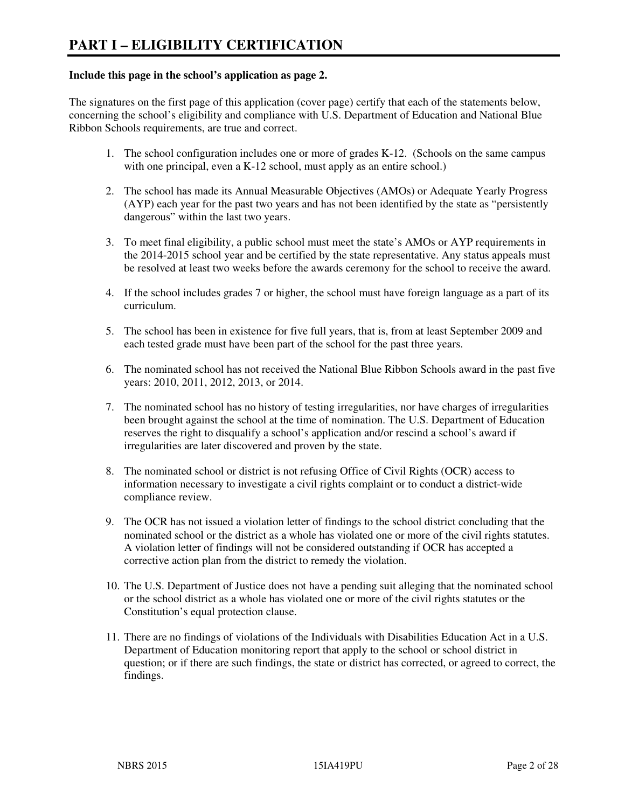#### **Include this page in the school's application as page 2.**

The signatures on the first page of this application (cover page) certify that each of the statements below, concerning the school's eligibility and compliance with U.S. Department of Education and National Blue Ribbon Schools requirements, are true and correct.

- 1. The school configuration includes one or more of grades K-12. (Schools on the same campus with one principal, even a K-12 school, must apply as an entire school.)
- 2. The school has made its Annual Measurable Objectives (AMOs) or Adequate Yearly Progress (AYP) each year for the past two years and has not been identified by the state as "persistently dangerous" within the last two years.
- 3. To meet final eligibility, a public school must meet the state's AMOs or AYP requirements in the 2014-2015 school year and be certified by the state representative. Any status appeals must be resolved at least two weeks before the awards ceremony for the school to receive the award.
- 4. If the school includes grades 7 or higher, the school must have foreign language as a part of its curriculum.
- 5. The school has been in existence for five full years, that is, from at least September 2009 and each tested grade must have been part of the school for the past three years.
- 6. The nominated school has not received the National Blue Ribbon Schools award in the past five years: 2010, 2011, 2012, 2013, or 2014.
- 7. The nominated school has no history of testing irregularities, nor have charges of irregularities been brought against the school at the time of nomination. The U.S. Department of Education reserves the right to disqualify a school's application and/or rescind a school's award if irregularities are later discovered and proven by the state.
- 8. The nominated school or district is not refusing Office of Civil Rights (OCR) access to information necessary to investigate a civil rights complaint or to conduct a district-wide compliance review.
- 9. The OCR has not issued a violation letter of findings to the school district concluding that the nominated school or the district as a whole has violated one or more of the civil rights statutes. A violation letter of findings will not be considered outstanding if OCR has accepted a corrective action plan from the district to remedy the violation.
- 10. The U.S. Department of Justice does not have a pending suit alleging that the nominated school or the school district as a whole has violated one or more of the civil rights statutes or the Constitution's equal protection clause.
- 11. There are no findings of violations of the Individuals with Disabilities Education Act in a U.S. Department of Education monitoring report that apply to the school or school district in question; or if there are such findings, the state or district has corrected, or agreed to correct, the findings.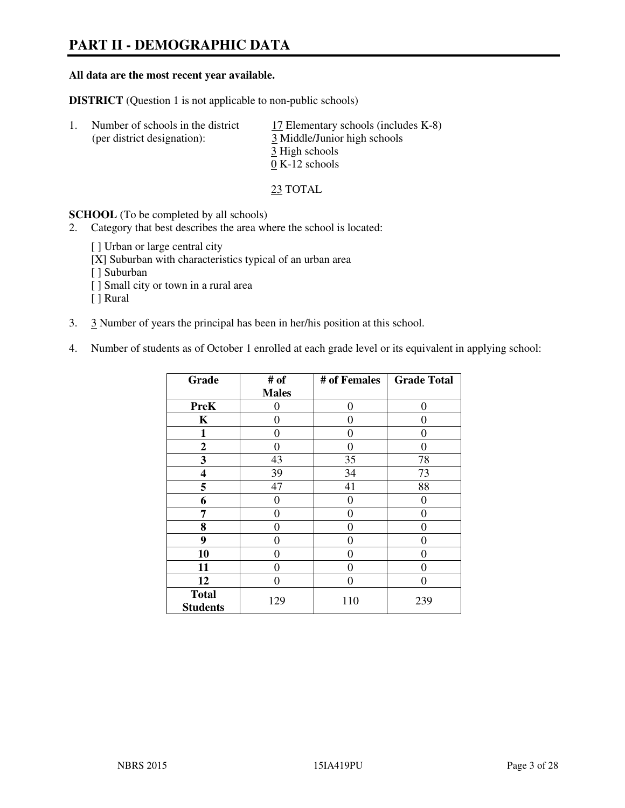# **PART II - DEMOGRAPHIC DATA**

#### **All data are the most recent year available.**

**DISTRICT** (Question 1 is not applicable to non-public schools)

| Number of schools in the district<br>(per district designation): | 17 Elementary schools (includes K-8)<br>3 Middle/Junior high schools<br>3 High schools |
|------------------------------------------------------------------|----------------------------------------------------------------------------------------|
|                                                                  | $0 K-12$ schools                                                                       |

23 TOTAL

**SCHOOL** (To be completed by all schools)

- 2. Category that best describes the area where the school is located:
	- [ ] Urban or large central city
	- [X] Suburban with characteristics typical of an urban area
	- [ ] Suburban
	- [ ] Small city or town in a rural area
	- [ ] Rural
- 3. 3 Number of years the principal has been in her/his position at this school.
- 4. Number of students as of October 1 enrolled at each grade level or its equivalent in applying school:

| Grade                           | # of         | # of Females   | <b>Grade Total</b> |
|---------------------------------|--------------|----------------|--------------------|
|                                 | <b>Males</b> |                |                    |
| <b>PreK</b>                     | 0            | $\theta$       | $\theta$           |
| K                               | 0            | 0              | 0                  |
| 1                               | 0            | 0              | $\theta$           |
| $\boldsymbol{2}$                | 0            | 0              | $\Omega$           |
| 3                               | 43           | 35             | 78                 |
| 4                               | 39           | 34             | 73                 |
| 5                               | 47           | 41             | 88                 |
| 6                               | 0            | $\theta$       | 0                  |
| 7                               | 0            | $\overline{0}$ | 0                  |
| 8                               | 0            | 0              | 0                  |
| 9                               | $\theta$     | 0              | 0                  |
| 10                              | 0            | 0              | 0                  |
| 11                              | 0            | 0              | $\theta$           |
| 12                              | 0            | 0              | 0                  |
| <b>Total</b><br><b>Students</b> | 129          | 110            | 239                |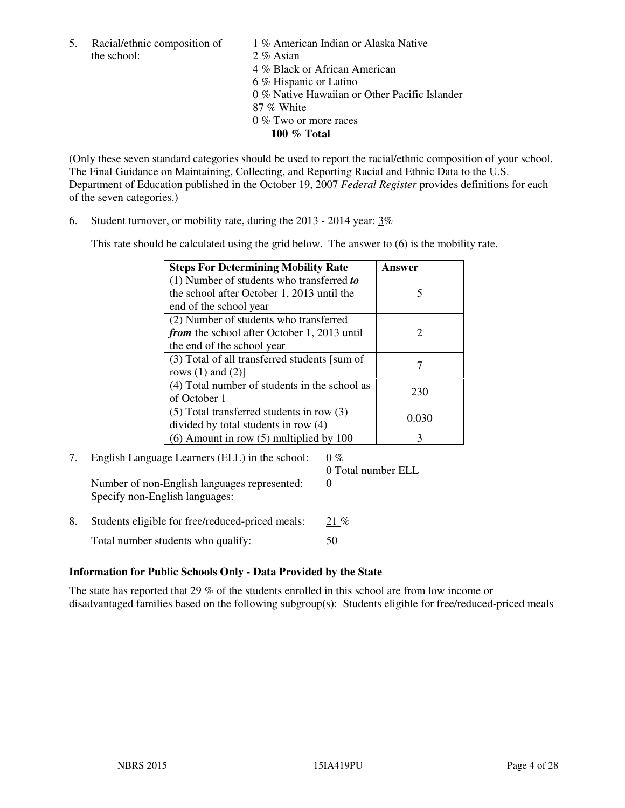5. Racial/ethnic composition of  $1\%$  American Indian or Alaska Native the school: 2 % Asian

 4 % Black or African American 6 % Hispanic or Latino 0 % Native Hawaiian or Other Pacific Islander 87 % White 0 % Two or more races **100 % Total** 

(Only these seven standard categories should be used to report the racial/ethnic composition of your school. The Final Guidance on Maintaining, Collecting, and Reporting Racial and Ethnic Data to the U.S. Department of Education published in the October 19, 2007 *Federal Register* provides definitions for each of the seven categories.)

6. Student turnover, or mobility rate, during the 2013 - 2014 year: 3%

This rate should be calculated using the grid below. The answer to (6) is the mobility rate.

| <b>Steps For Determining Mobility Rate</b>         | Answer                |
|----------------------------------------------------|-----------------------|
| $(1)$ Number of students who transferred to        |                       |
| the school after October 1, 2013 until the         | 5                     |
| end of the school year                             |                       |
| (2) Number of students who transferred             |                       |
| <i>from</i> the school after October 1, 2013 until | $\mathcal{D}_{\cdot}$ |
| the end of the school year                         |                       |
| (3) Total of all transferred students [sum of      |                       |
| rows $(1)$ and $(2)$ ]                             |                       |
| (4) Total number of students in the school as      | 230                   |
| of October 1                                       |                       |
| $(5)$ Total transferred students in row $(3)$      | 0.030                 |
| divided by total students in row (4)               |                       |
| $(6)$ Amount in row $(5)$ multiplied by 100        | 3                     |

#### 7. English Language Learners (ELL) in the school:  $0\%$ 0 Total number ELL

Number of non-English languages represented: 0 Specify non-English languages:

8. Students eligible for free/reduced-priced meals: 21 % Total number students who qualify: 50

#### **Information for Public Schools Only - Data Provided by the State**

The state has reported that  $29\%$  of the students enrolled in this school are from low income or disadvantaged families based on the following subgroup(s): Students eligible for free/reduced-priced meals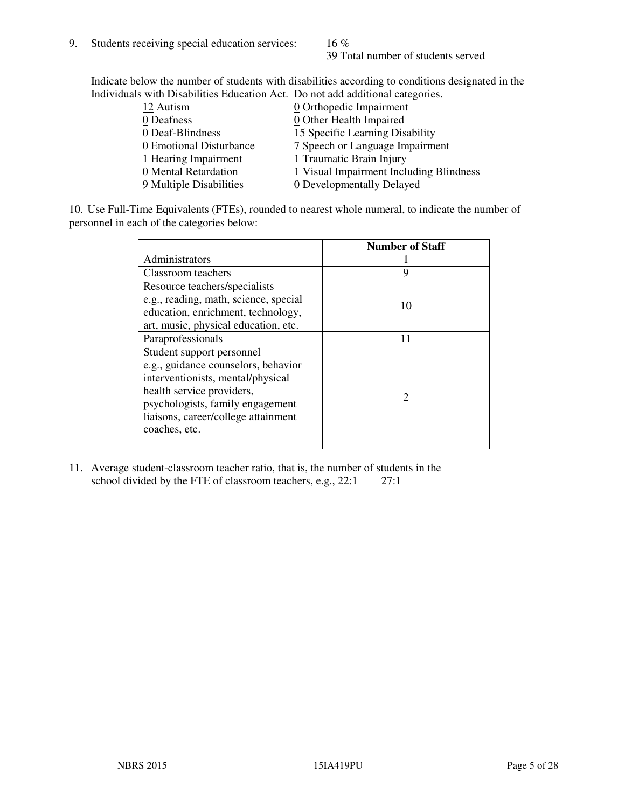39 Total number of students served

Indicate below the number of students with disabilities according to conditions designated in the Individuals with Disabilities Education Act. Do not add additional categories.

| <u>marritano with Disachitity Buatanon ritti Do not auu auunchai talegorito.</u> |                                         |
|----------------------------------------------------------------------------------|-----------------------------------------|
| 12 Autism                                                                        | $\underline{0}$ Orthopedic Impairment   |
| 0 Deafness                                                                       | 0 Other Health Impaired                 |
| 0 Deaf-Blindness                                                                 | 15 Specific Learning Disability         |
| 0 Emotional Disturbance                                                          | 7 Speech or Language Impairment         |
| 1 Hearing Impairment                                                             | 1 Traumatic Brain Injury                |
| 0 Mental Retardation                                                             | 1 Visual Impairment Including Blindness |
| 9 Multiple Disabilities                                                          | 0 Developmentally Delayed               |
|                                                                                  |                                         |

10. Use Full-Time Equivalents (FTEs), rounded to nearest whole numeral, to indicate the number of personnel in each of the categories below:

|                                       | <b>Number of Staff</b>      |
|---------------------------------------|-----------------------------|
| Administrators                        |                             |
| Classroom teachers                    | 9                           |
| Resource teachers/specialists         |                             |
| e.g., reading, math, science, special | 10                          |
| education, enrichment, technology,    |                             |
| art, music, physical education, etc.  |                             |
| Paraprofessionals                     | 11                          |
| Student support personnel             |                             |
| e.g., guidance counselors, behavior   |                             |
| interventionists, mental/physical     |                             |
| health service providers,             | $\mathcal{D}_{\mathcal{L}}$ |
| psychologists, family engagement      |                             |
| liaisons, career/college attainment   |                             |
| coaches, etc.                         |                             |
|                                       |                             |

11. Average student-classroom teacher ratio, that is, the number of students in the school divided by the FTE of classroom teachers, e.g.,  $22:1$   $27:1$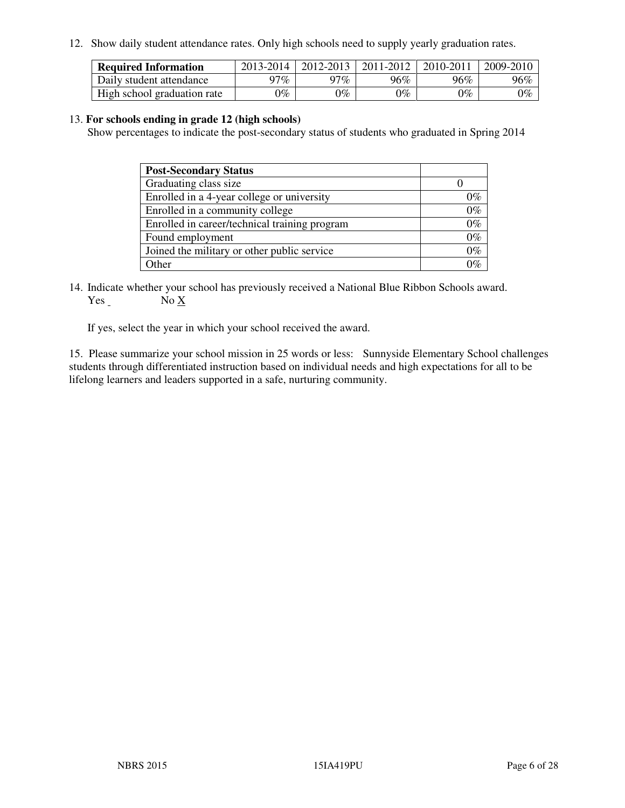12. Show daily student attendance rates. Only high schools need to supply yearly graduation rates.

| <b>Required Information</b> | 2013-2014     | 2012-2013       | 2011-2012 | 2010-2011 | 2009-2010 |
|-----------------------------|---------------|-----------------|-----------|-----------|-----------|
| Daily student attendance    | 97%           | 97%             | 96%       | 96%       | 96%       |
| High school graduation rate | $\gamma_{\%}$ | $\mathcal{V}_o$ | $0\%$     | 0%        | 0%        |

#### 13. **For schools ending in grade 12 (high schools)**

Show percentages to indicate the post-secondary status of students who graduated in Spring 2014

| <b>Post-Secondary Status</b>                  |       |
|-----------------------------------------------|-------|
| Graduating class size                         |       |
| Enrolled in a 4-year college or university    | በ‰    |
| Enrolled in a community college               | $0\%$ |
| Enrolled in career/technical training program | $0\%$ |
| Found employment                              | $0\%$ |
| Joined the military or other public service   | 0%    |
| Other                                         |       |

14. Indicate whether your school has previously received a National Blue Ribbon Schools award. Yes No X

If yes, select the year in which your school received the award.

15. Please summarize your school mission in 25 words or less: Sunnyside Elementary School challenges students through differentiated instruction based on individual needs and high expectations for all to be lifelong learners and leaders supported in a safe, nurturing community.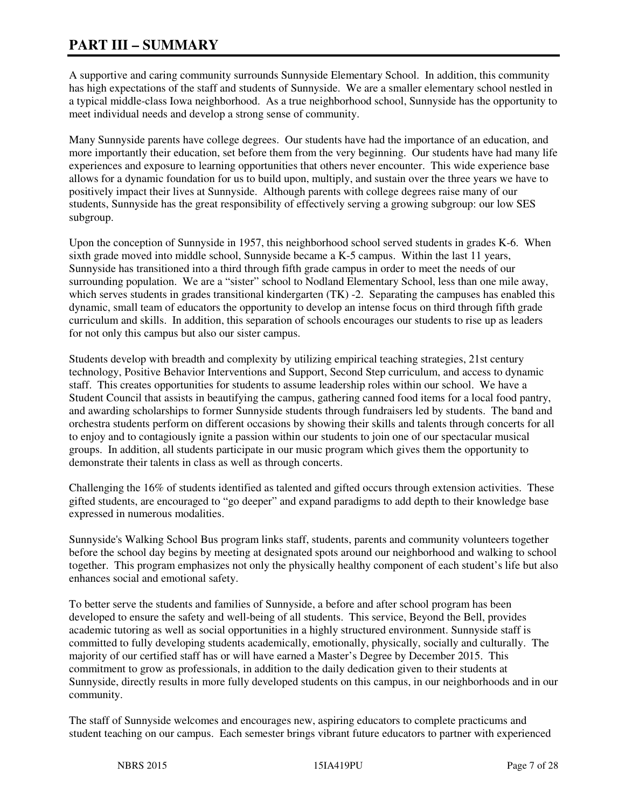# **PART III – SUMMARY**

A supportive and caring community surrounds Sunnyside Elementary School. In addition, this community has high expectations of the staff and students of Sunnyside. We are a smaller elementary school nestled in a typical middle-class Iowa neighborhood. As a true neighborhood school, Sunnyside has the opportunity to meet individual needs and develop a strong sense of community.

Many Sunnyside parents have college degrees. Our students have had the importance of an education, and more importantly their education, set before them from the very beginning. Our students have had many life experiences and exposure to learning opportunities that others never encounter. This wide experience base allows for a dynamic foundation for us to build upon, multiply, and sustain over the three years we have to positively impact their lives at Sunnyside. Although parents with college degrees raise many of our students, Sunnyside has the great responsibility of effectively serving a growing subgroup: our low SES subgroup.

Upon the conception of Sunnyside in 1957, this neighborhood school served students in grades K-6. When sixth grade moved into middle school, Sunnyside became a K-5 campus. Within the last 11 years, Sunnyside has transitioned into a third through fifth grade campus in order to meet the needs of our surrounding population. We are a "sister" school to Nodland Elementary School, less than one mile away, which serves students in grades transitional kindergarten (TK) -2. Separating the campuses has enabled this dynamic, small team of educators the opportunity to develop an intense focus on third through fifth grade curriculum and skills. In addition, this separation of schools encourages our students to rise up as leaders for not only this campus but also our sister campus.

Students develop with breadth and complexity by utilizing empirical teaching strategies, 21st century technology, Positive Behavior Interventions and Support, Second Step curriculum, and access to dynamic staff. This creates opportunities for students to assume leadership roles within our school. We have a Student Council that assists in beautifying the campus, gathering canned food items for a local food pantry, and awarding scholarships to former Sunnyside students through fundraisers led by students. The band and orchestra students perform on different occasions by showing their skills and talents through concerts for all to enjoy and to contagiously ignite a passion within our students to join one of our spectacular musical groups. In addition, all students participate in our music program which gives them the opportunity to demonstrate their talents in class as well as through concerts.

Challenging the 16% of students identified as talented and gifted occurs through extension activities. These gifted students, are encouraged to "go deeper" and expand paradigms to add depth to their knowledge base expressed in numerous modalities.

Sunnyside's Walking School Bus program links staff, students, parents and community volunteers together before the school day begins by meeting at designated spots around our neighborhood and walking to school together. This program emphasizes not only the physically healthy component of each student's life but also enhances social and emotional safety.

To better serve the students and families of Sunnyside, a before and after school program has been developed to ensure the safety and well-being of all students. This service, Beyond the Bell, provides academic tutoring as well as social opportunities in a highly structured environment. Sunnyside staff is committed to fully developing students academically, emotionally, physically, socially and culturally. The majority of our certified staff has or will have earned a Master's Degree by December 2015. This commitment to grow as professionals, in addition to the daily dedication given to their students at Sunnyside, directly results in more fully developed students on this campus, in our neighborhoods and in our community.

The staff of Sunnyside welcomes and encourages new, aspiring educators to complete practicums and student teaching on our campus. Each semester brings vibrant future educators to partner with experienced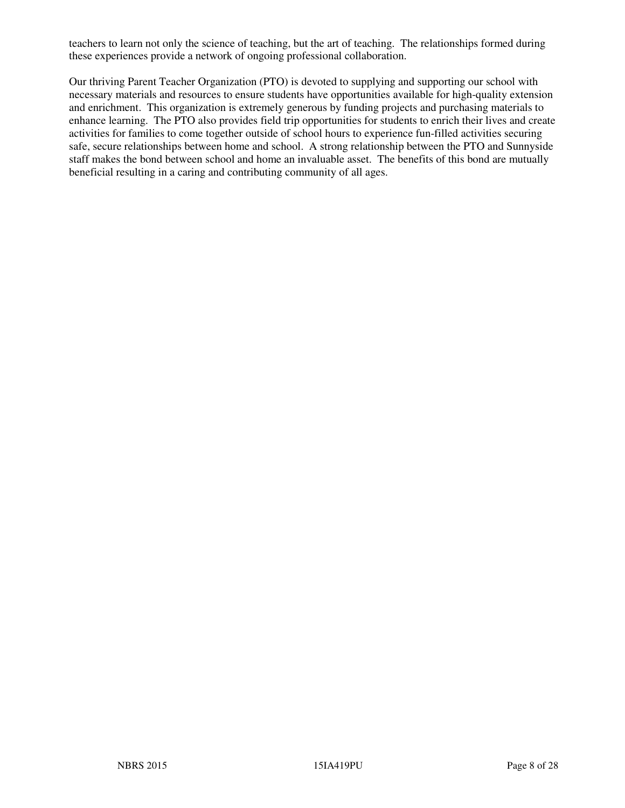teachers to learn not only the science of teaching, but the art of teaching. The relationships formed during these experiences provide a network of ongoing professional collaboration.

Our thriving Parent Teacher Organization (PTO) is devoted to supplying and supporting our school with necessary materials and resources to ensure students have opportunities available for high-quality extension and enrichment. This organization is extremely generous by funding projects and purchasing materials to enhance learning. The PTO also provides field trip opportunities for students to enrich their lives and create activities for families to come together outside of school hours to experience fun-filled activities securing safe, secure relationships between home and school. A strong relationship between the PTO and Sunnyside staff makes the bond between school and home an invaluable asset. The benefits of this bond are mutually beneficial resulting in a caring and contributing community of all ages.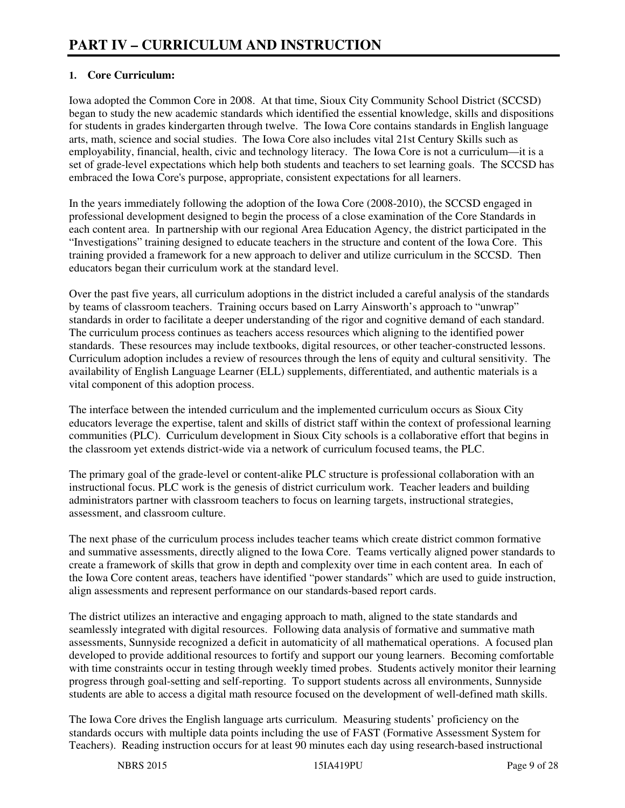### **1. Core Curriculum:**

Iowa adopted the Common Core in 2008. At that time, Sioux City Community School District (SCCSD) began to study the new academic standards which identified the essential knowledge, skills and dispositions for students in grades kindergarten through twelve. The Iowa Core contains standards in English language arts, math, science and social studies. The Iowa Core also includes vital 21st Century Skills such as employability, financial, health, civic and technology literacy. The Iowa Core is not a curriculum—it is a set of grade-level expectations which help both students and teachers to set learning goals. The SCCSD has embraced the Iowa Core's purpose, appropriate, consistent expectations for all learners.

In the years immediately following the adoption of the Iowa Core (2008-2010), the SCCSD engaged in professional development designed to begin the process of a close examination of the Core Standards in each content area. In partnership with our regional Area Education Agency, the district participated in the "Investigations" training designed to educate teachers in the structure and content of the Iowa Core. This training provided a framework for a new approach to deliver and utilize curriculum in the SCCSD. Then educators began their curriculum work at the standard level.

Over the past five years, all curriculum adoptions in the district included a careful analysis of the standards by teams of classroom teachers. Training occurs based on Larry Ainsworth's approach to "unwrap" standards in order to facilitate a deeper understanding of the rigor and cognitive demand of each standard. The curriculum process continues as teachers access resources which aligning to the identified power standards. These resources may include textbooks, digital resources, or other teacher-constructed lessons. Curriculum adoption includes a review of resources through the lens of equity and cultural sensitivity. The availability of English Language Learner (ELL) supplements, differentiated, and authentic materials is a vital component of this adoption process.

The interface between the intended curriculum and the implemented curriculum occurs as Sioux City educators leverage the expertise, talent and skills of district staff within the context of professional learning communities (PLC). Curriculum development in Sioux City schools is a collaborative effort that begins in the classroom yet extends district-wide via a network of curriculum focused teams, the PLC.

The primary goal of the grade-level or content-alike PLC structure is professional collaboration with an instructional focus. PLC work is the genesis of district curriculum work. Teacher leaders and building administrators partner with classroom teachers to focus on learning targets, instructional strategies, assessment, and classroom culture.

The next phase of the curriculum process includes teacher teams which create district common formative and summative assessments, directly aligned to the Iowa Core. Teams vertically aligned power standards to create a framework of skills that grow in depth and complexity over time in each content area. In each of the Iowa Core content areas, teachers have identified "power standards" which are used to guide instruction, align assessments and represent performance on our standards-based report cards.

The district utilizes an interactive and engaging approach to math, aligned to the state standards and seamlessly integrated with digital resources. Following data analysis of formative and summative math assessments, Sunnyside recognized a deficit in automaticity of all mathematical operations. A focused plan developed to provide additional resources to fortify and support our young learners. Becoming comfortable with time constraints occur in testing through weekly timed probes. Students actively monitor their learning progress through goal-setting and self-reporting. To support students across all environments, Sunnyside students are able to access a digital math resource focused on the development of well-defined math skills.

The Iowa Core drives the English language arts curriculum. Measuring students' proficiency on the standards occurs with multiple data points including the use of FAST (Formative Assessment System for Teachers). Reading instruction occurs for at least 90 minutes each day using research-based instructional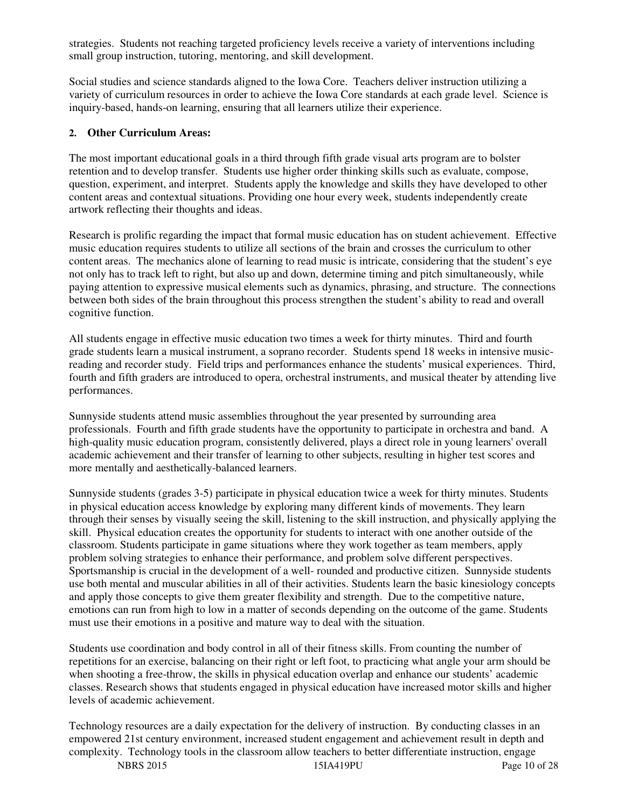strategies. Students not reaching targeted proficiency levels receive a variety of interventions including small group instruction, tutoring, mentoring, and skill development.

Social studies and science standards aligned to the Iowa Core. Teachers deliver instruction utilizing a variety of curriculum resources in order to achieve the Iowa Core standards at each grade level. Science is inquiry-based, hands-on learning, ensuring that all learners utilize their experience.

#### **2. Other Curriculum Areas:**

The most important educational goals in a third through fifth grade visual arts program are to bolster retention and to develop transfer. Students use higher order thinking skills such as evaluate, compose, question, experiment, and interpret. Students apply the knowledge and skills they have developed to other content areas and contextual situations. Providing one hour every week, students independently create artwork reflecting their thoughts and ideas.

Research is prolific regarding the impact that formal music education has on student achievement. Effective music education requires students to utilize all sections of the brain and crosses the curriculum to other content areas. The mechanics alone of learning to read music is intricate, considering that the student's eye not only has to track left to right, but also up and down, determine timing and pitch simultaneously, while paying attention to expressive musical elements such as dynamics, phrasing, and structure. The connections between both sides of the brain throughout this process strengthen the student's ability to read and overall cognitive function.

All students engage in effective music education two times a week for thirty minutes. Third and fourth grade students learn a musical instrument, a soprano recorder. Students spend 18 weeks in intensive musicreading and recorder study. Field trips and performances enhance the students' musical experiences. Third, fourth and fifth graders are introduced to opera, orchestral instruments, and musical theater by attending live performances.

Sunnyside students attend music assemblies throughout the year presented by surrounding area professionals. Fourth and fifth grade students have the opportunity to participate in orchestra and band. A high-quality music education program, consistently delivered, plays a direct role in young learners' overall academic achievement and their transfer of learning to other subjects, resulting in higher test scores and more mentally and aesthetically-balanced learners.

Sunnyside students (grades 3-5) participate in physical education twice a week for thirty minutes. Students in physical education access knowledge by exploring many different kinds of movements. They learn through their senses by visually seeing the skill, listening to the skill instruction, and physically applying the skill. Physical education creates the opportunity for students to interact with one another outside of the classroom. Students participate in game situations where they work together as team members, apply problem solving strategies to enhance their performance, and problem solve different perspectives. Sportsmanship is crucial in the development of a well- rounded and productive citizen. Sunnyside students use both mental and muscular abilities in all of their activities. Students learn the basic kinesiology concepts and apply those concepts to give them greater flexibility and strength. Due to the competitive nature, emotions can run from high to low in a matter of seconds depending on the outcome of the game. Students must use their emotions in a positive and mature way to deal with the situation.

Students use coordination and body control in all of their fitness skills. From counting the number of repetitions for an exercise, balancing on their right or left foot, to practicing what angle your arm should be when shooting a free-throw, the skills in physical education overlap and enhance our students' academic classes. Research shows that students engaged in physical education have increased motor skills and higher levels of academic achievement.

Technology resources are a daily expectation for the delivery of instruction. By conducting classes in an empowered 21st century environment, increased student engagement and achievement result in depth and complexity. Technology tools in the classroom allow teachers to better differentiate instruction, engage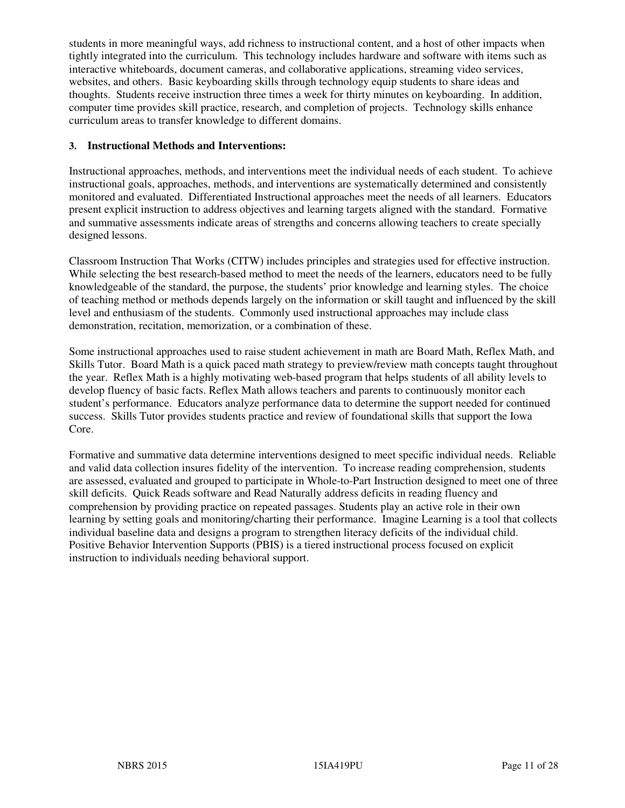students in more meaningful ways, add richness to instructional content, and a host of other impacts when tightly integrated into the curriculum. This technology includes hardware and software with items such as interactive whiteboards, document cameras, and collaborative applications, streaming video services, websites, and others. Basic keyboarding skills through technology equip students to share ideas and thoughts. Students receive instruction three times a week for thirty minutes on keyboarding. In addition, computer time provides skill practice, research, and completion of projects. Technology skills enhance curriculum areas to transfer knowledge to different domains.

#### **3. Instructional Methods and Interventions:**

Instructional approaches, methods, and interventions meet the individual needs of each student. To achieve instructional goals, approaches, methods, and interventions are systematically determined and consistently monitored and evaluated. Differentiated Instructional approaches meet the needs of all learners. Educators present explicit instruction to address objectives and learning targets aligned with the standard. Formative and summative assessments indicate areas of strengths and concerns allowing teachers to create specially designed lessons.

Classroom Instruction That Works (CITW) includes principles and strategies used for effective instruction. While selecting the best research-based method to meet the needs of the learners, educators need to be fully knowledgeable of the standard, the purpose, the students' prior knowledge and learning styles. The choice of teaching method or methods depends largely on the information or skill taught and influenced by the skill level and enthusiasm of the students. Commonly used instructional approaches may include class demonstration, recitation, memorization, or a combination of these.

Some instructional approaches used to raise student achievement in math are Board Math, Reflex Math, and Skills Tutor. Board Math is a quick paced math strategy to preview/review math concepts taught throughout the year. Reflex Math is a highly motivating web-based program that helps students of all ability levels to develop fluency of basic facts. Reflex Math allows teachers and parents to continuously monitor each student's performance. Educators analyze performance data to determine the support needed for continued success. Skills Tutor provides students practice and review of foundational skills that support the Iowa Core.

Formative and summative data determine interventions designed to meet specific individual needs. Reliable and valid data collection insures fidelity of the intervention. To increase reading comprehension, students are assessed, evaluated and grouped to participate in Whole-to-Part Instruction designed to meet one of three skill deficits. Quick Reads software and Read Naturally address deficits in reading fluency and comprehension by providing practice on repeated passages. Students play an active role in their own learning by setting goals and monitoring/charting their performance. Imagine Learning is a tool that collects individual baseline data and designs a program to strengthen literacy deficits of the individual child. Positive Behavior Intervention Supports (PBIS) is a tiered instructional process focused on explicit instruction to individuals needing behavioral support.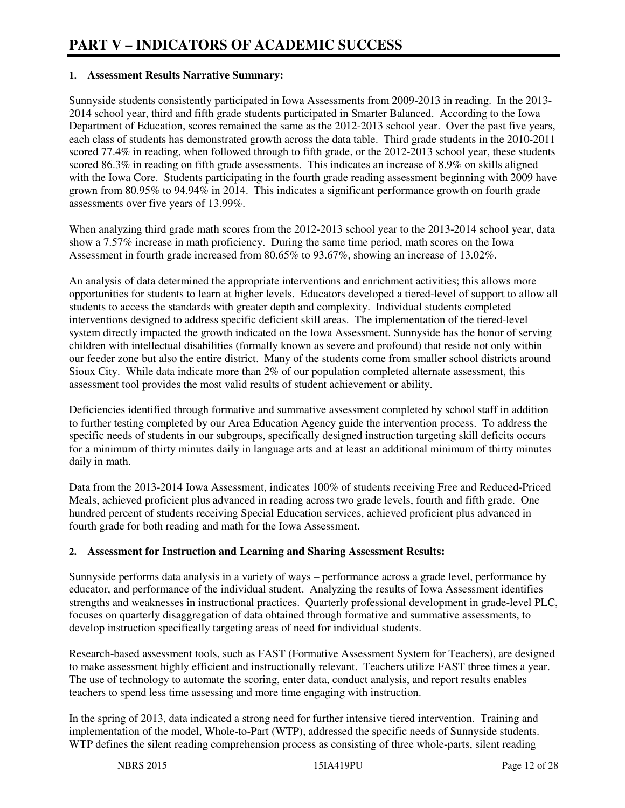#### **1. Assessment Results Narrative Summary:**

Sunnyside students consistently participated in Iowa Assessments from 2009-2013 in reading. In the 2013- 2014 school year, third and fifth grade students participated in Smarter Balanced. According to the Iowa Department of Education, scores remained the same as the 2012-2013 school year. Over the past five years, each class of students has demonstrated growth across the data table. Third grade students in the 2010-2011 scored 77.4% in reading, when followed through to fifth grade, or the 2012-2013 school year, these students scored 86.3% in reading on fifth grade assessments. This indicates an increase of 8.9% on skills aligned with the Iowa Core. Students participating in the fourth grade reading assessment beginning with 2009 have grown from 80.95% to 94.94% in 2014. This indicates a significant performance growth on fourth grade assessments over five years of 13.99%.

When analyzing third grade math scores from the 2012-2013 school year to the 2013-2014 school year, data show a 7.57% increase in math proficiency. During the same time period, math scores on the Iowa Assessment in fourth grade increased from 80.65% to 93.67%, showing an increase of 13.02%.

An analysis of data determined the appropriate interventions and enrichment activities; this allows more opportunities for students to learn at higher levels. Educators developed a tiered-level of support to allow all students to access the standards with greater depth and complexity. Individual students completed interventions designed to address specific deficient skill areas. The implementation of the tiered-level system directly impacted the growth indicated on the Iowa Assessment. Sunnyside has the honor of serving children with intellectual disabilities (formally known as severe and profound) that reside not only within our feeder zone but also the entire district. Many of the students come from smaller school districts around Sioux City. While data indicate more than 2% of our population completed alternate assessment, this assessment tool provides the most valid results of student achievement or ability.

Deficiencies identified through formative and summative assessment completed by school staff in addition to further testing completed by our Area Education Agency guide the intervention process. To address the specific needs of students in our subgroups, specifically designed instruction targeting skill deficits occurs for a minimum of thirty minutes daily in language arts and at least an additional minimum of thirty minutes daily in math.

Data from the 2013-2014 Iowa Assessment, indicates 100% of students receiving Free and Reduced-Priced Meals, achieved proficient plus advanced in reading across two grade levels, fourth and fifth grade. One hundred percent of students receiving Special Education services, achieved proficient plus advanced in fourth grade for both reading and math for the Iowa Assessment.

#### **2. Assessment for Instruction and Learning and Sharing Assessment Results:**

Sunnyside performs data analysis in a variety of ways – performance across a grade level, performance by educator, and performance of the individual student. Analyzing the results of Iowa Assessment identifies strengths and weaknesses in instructional practices. Quarterly professional development in grade-level PLC, focuses on quarterly disaggregation of data obtained through formative and summative assessments, to develop instruction specifically targeting areas of need for individual students.

Research-based assessment tools, such as FAST (Formative Assessment System for Teachers), are designed to make assessment highly efficient and instructionally relevant. Teachers utilize FAST three times a year. The use of technology to automate the scoring, enter data, conduct analysis, and report results enables teachers to spend less time assessing and more time engaging with instruction.

In the spring of 2013, data indicated a strong need for further intensive tiered intervention. Training and implementation of the model, Whole-to-Part (WTP), addressed the specific needs of Sunnyside students. WTP defines the silent reading comprehension process as consisting of three whole-parts, silent reading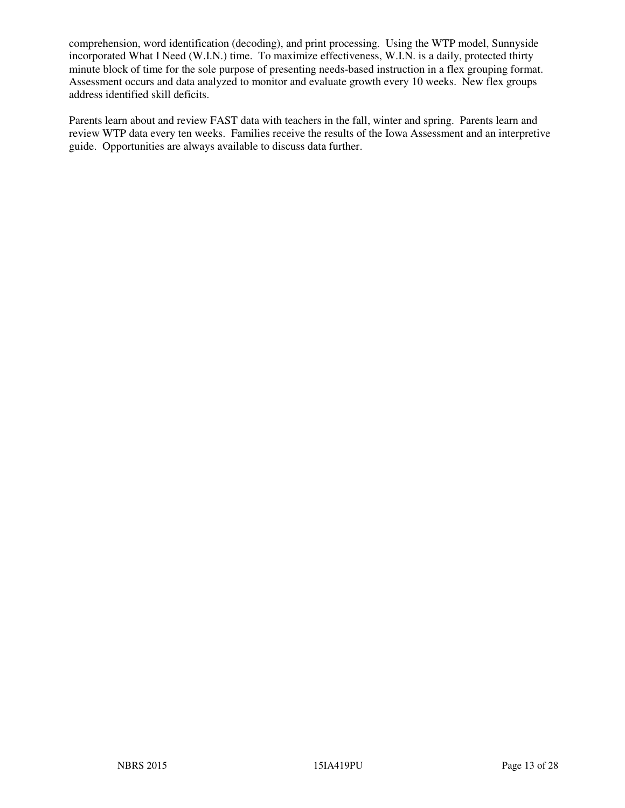comprehension, word identification (decoding), and print processing. Using the WTP model, Sunnyside incorporated What I Need (W.I.N.) time. To maximize effectiveness, W.I.N. is a daily, protected thirty minute block of time for the sole purpose of presenting needs-based instruction in a flex grouping format. Assessment occurs and data analyzed to monitor and evaluate growth every 10 weeks. New flex groups address identified skill deficits.

Parents learn about and review FAST data with teachers in the fall, winter and spring. Parents learn and review WTP data every ten weeks. Families receive the results of the Iowa Assessment and an interpretive guide. Opportunities are always available to discuss data further.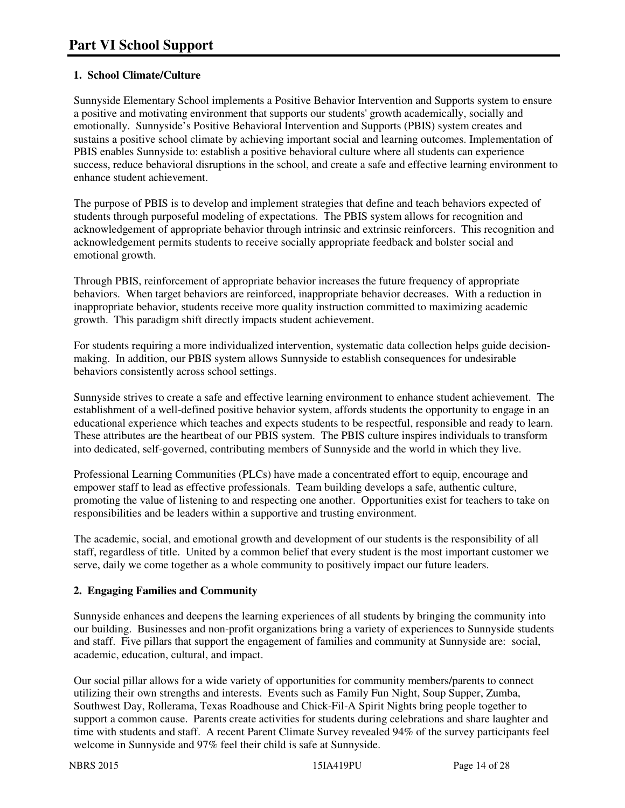### **1. School Climate/Culture**

Sunnyside Elementary School implements a Positive Behavior Intervention and Supports system to ensure a positive and motivating environment that supports our students' growth academically, socially and emotionally. Sunnyside's Positive Behavioral Intervention and Supports (PBIS) system creates and sustains a positive school climate by achieving important social and learning outcomes. Implementation of PBIS enables Sunnyside to: establish a positive behavioral culture where all students can experience success, reduce behavioral disruptions in the school, and create a safe and effective learning environment to enhance student achievement.

The purpose of PBIS is to develop and implement strategies that define and teach behaviors expected of students through purposeful modeling of expectations. The PBIS system allows for recognition and acknowledgement of appropriate behavior through intrinsic and extrinsic reinforcers. This recognition and acknowledgement permits students to receive socially appropriate feedback and bolster social and emotional growth.

Through PBIS, reinforcement of appropriate behavior increases the future frequency of appropriate behaviors. When target behaviors are reinforced, inappropriate behavior decreases. With a reduction in inappropriate behavior, students receive more quality instruction committed to maximizing academic growth. This paradigm shift directly impacts student achievement.

For students requiring a more individualized intervention, systematic data collection helps guide decisionmaking. In addition, our PBIS system allows Sunnyside to establish consequences for undesirable behaviors consistently across school settings.

Sunnyside strives to create a safe and effective learning environment to enhance student achievement. The establishment of a well-defined positive behavior system, affords students the opportunity to engage in an educational experience which teaches and expects students to be respectful, responsible and ready to learn. These attributes are the heartbeat of our PBIS system. The PBIS culture inspires individuals to transform into dedicated, self-governed, contributing members of Sunnyside and the world in which they live.

Professional Learning Communities (PLCs) have made a concentrated effort to equip, encourage and empower staff to lead as effective professionals. Team building develops a safe, authentic culture, promoting the value of listening to and respecting one another. Opportunities exist for teachers to take on responsibilities and be leaders within a supportive and trusting environment.

The academic, social, and emotional growth and development of our students is the responsibility of all staff, regardless of title. United by a common belief that every student is the most important customer we serve, daily we come together as a whole community to positively impact our future leaders.

#### **2. Engaging Families and Community**

Sunnyside enhances and deepens the learning experiences of all students by bringing the community into our building. Businesses and non-profit organizations bring a variety of experiences to Sunnyside students and staff. Five pillars that support the engagement of families and community at Sunnyside are: social, academic, education, cultural, and impact.

Our social pillar allows for a wide variety of opportunities for community members/parents to connect utilizing their own strengths and interests. Events such as Family Fun Night, Soup Supper, Zumba, Southwest Day, Rollerama, Texas Roadhouse and Chick-Fil-A Spirit Nights bring people together to support a common cause. Parents create activities for students during celebrations and share laughter and time with students and staff. A recent Parent Climate Survey revealed 94% of the survey participants feel welcome in Sunnyside and 97% feel their child is safe at Sunnyside.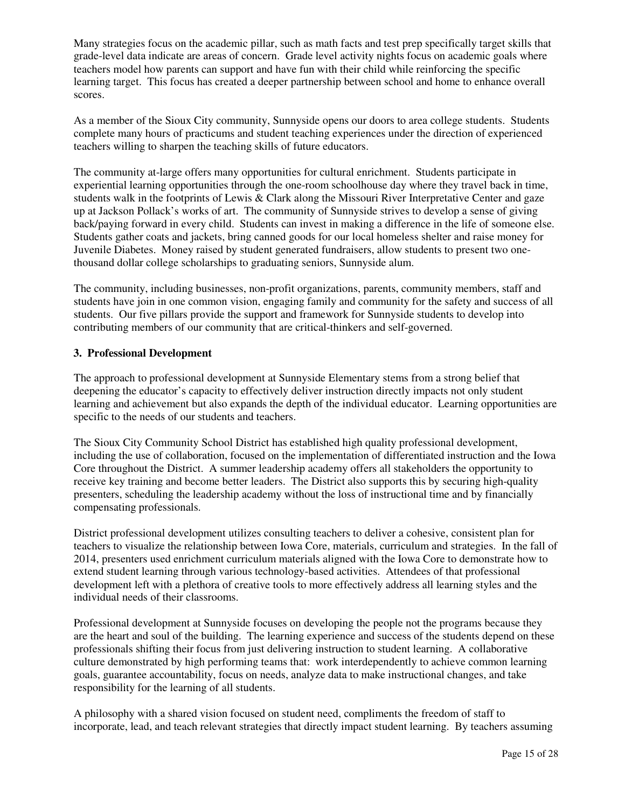Many strategies focus on the academic pillar, such as math facts and test prep specifically target skills that grade-level data indicate are areas of concern. Grade level activity nights focus on academic goals where teachers model how parents can support and have fun with their child while reinforcing the specific learning target. This focus has created a deeper partnership between school and home to enhance overall scores.

As a member of the Sioux City community, Sunnyside opens our doors to area college students. Students complete many hours of practicums and student teaching experiences under the direction of experienced teachers willing to sharpen the teaching skills of future educators.

The community at-large offers many opportunities for cultural enrichment. Students participate in experiential learning opportunities through the one-room schoolhouse day where they travel back in time, students walk in the footprints of Lewis & Clark along the Missouri River Interpretative Center and gaze up at Jackson Pollack's works of art. The community of Sunnyside strives to develop a sense of giving back/paying forward in every child. Students can invest in making a difference in the life of someone else. Students gather coats and jackets, bring canned goods for our local homeless shelter and raise money for Juvenile Diabetes. Money raised by student generated fundraisers, allow students to present two onethousand dollar college scholarships to graduating seniors, Sunnyside alum.

The community, including businesses, non-profit organizations, parents, community members, staff and students have join in one common vision, engaging family and community for the safety and success of all students. Our five pillars provide the support and framework for Sunnyside students to develop into contributing members of our community that are critical-thinkers and self-governed.

#### **3. Professional Development**

The approach to professional development at Sunnyside Elementary stems from a strong belief that deepening the educator's capacity to effectively deliver instruction directly impacts not only student learning and achievement but also expands the depth of the individual educator. Learning opportunities are specific to the needs of our students and teachers.

The Sioux City Community School District has established high quality professional development, including the use of collaboration, focused on the implementation of differentiated instruction and the Iowa Core throughout the District. A summer leadership academy offers all stakeholders the opportunity to receive key training and become better leaders. The District also supports this by securing high-quality presenters, scheduling the leadership academy without the loss of instructional time and by financially compensating professionals.

District professional development utilizes consulting teachers to deliver a cohesive, consistent plan for teachers to visualize the relationship between Iowa Core, materials, curriculum and strategies. In the fall of 2014, presenters used enrichment curriculum materials aligned with the Iowa Core to demonstrate how to extend student learning through various technology-based activities. Attendees of that professional development left with a plethora of creative tools to more effectively address all learning styles and the individual needs of their classrooms.

Professional development at Sunnyside focuses on developing the people not the programs because they are the heart and soul of the building. The learning experience and success of the students depend on these professionals shifting their focus from just delivering instruction to student learning. A collaborative culture demonstrated by high performing teams that: work interdependently to achieve common learning goals, guarantee accountability, focus on needs, analyze data to make instructional changes, and take responsibility for the learning of all students.

A philosophy with a shared vision focused on student need, compliments the freedom of staff to incorporate, lead, and teach relevant strategies that directly impact student learning. By teachers assuming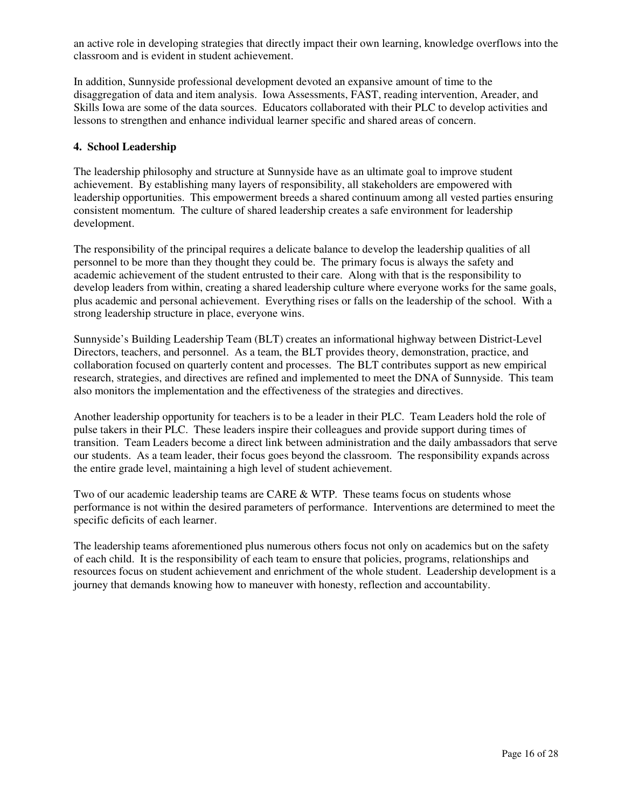an active role in developing strategies that directly impact their own learning, knowledge overflows into the classroom and is evident in student achievement.

In addition, Sunnyside professional development devoted an expansive amount of time to the disaggregation of data and item analysis. Iowa Assessments, FAST, reading intervention, Areader, and Skills Iowa are some of the data sources. Educators collaborated with their PLC to develop activities and lessons to strengthen and enhance individual learner specific and shared areas of concern.

#### **4. School Leadership**

The leadership philosophy and structure at Sunnyside have as an ultimate goal to improve student achievement. By establishing many layers of responsibility, all stakeholders are empowered with leadership opportunities. This empowerment breeds a shared continuum among all vested parties ensuring consistent momentum. The culture of shared leadership creates a safe environment for leadership development.

The responsibility of the principal requires a delicate balance to develop the leadership qualities of all personnel to be more than they thought they could be. The primary focus is always the safety and academic achievement of the student entrusted to their care. Along with that is the responsibility to develop leaders from within, creating a shared leadership culture where everyone works for the same goals, plus academic and personal achievement. Everything rises or falls on the leadership of the school. With a strong leadership structure in place, everyone wins.

Sunnyside's Building Leadership Team (BLT) creates an informational highway between District-Level Directors, teachers, and personnel. As a team, the BLT provides theory, demonstration, practice, and collaboration focused on quarterly content and processes. The BLT contributes support as new empirical research, strategies, and directives are refined and implemented to meet the DNA of Sunnyside. This team also monitors the implementation and the effectiveness of the strategies and directives.

Another leadership opportunity for teachers is to be a leader in their PLC. Team Leaders hold the role of pulse takers in their PLC. These leaders inspire their colleagues and provide support during times of transition. Team Leaders become a direct link between administration and the daily ambassadors that serve our students. As a team leader, their focus goes beyond the classroom. The responsibility expands across the entire grade level, maintaining a high level of student achievement.

Two of our academic leadership teams are CARE & WTP. These teams focus on students whose performance is not within the desired parameters of performance. Interventions are determined to meet the specific deficits of each learner.

The leadership teams aforementioned plus numerous others focus not only on academics but on the safety of each child. It is the responsibility of each team to ensure that policies, programs, relationships and resources focus on student achievement and enrichment of the whole student. Leadership development is a journey that demands knowing how to maneuver with honesty, reflection and accountability.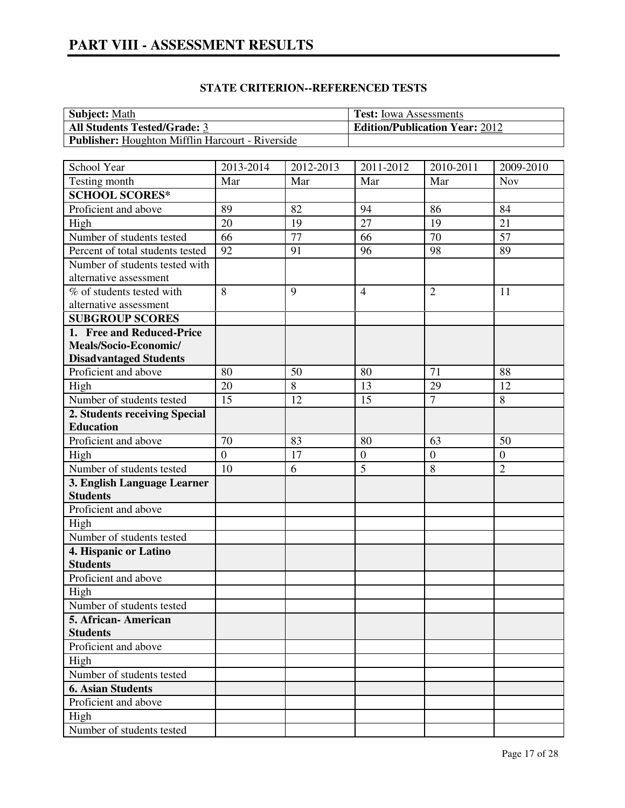| <b>Subject:</b> Math                                    | <b>Test:</b> Iowa Assessments         |
|---------------------------------------------------------|---------------------------------------|
| <b>All Students Tested/Grade: 3</b>                     | <b>Edition/Publication Year: 2012</b> |
| <b>Publisher:</b> Houghton Mifflin Harcourt - Riverside |                                       |

| School Year                      | 2013-2014      | 2012-2013 | 2011-2012       | 2010-2011        | 2009-2010      |
|----------------------------------|----------------|-----------|-----------------|------------------|----------------|
| Testing month                    | Mar            | Mar       | Mar             | Mar              | <b>Nov</b>     |
| <b>SCHOOL SCORES*</b>            |                |           |                 |                  |                |
| Proficient and above             | 89             | 82        | 94              | 86               | 84             |
| High                             | 20             | 19        | $\overline{27}$ | 19               | 21             |
| Number of students tested        | 66             | 77        | 66              | 70               | 57             |
| Percent of total students tested | 92             | 91        | 96              | 98               | 89             |
| Number of students tested with   |                |           |                 |                  |                |
| alternative assessment           |                |           |                 |                  |                |
| % of students tested with        | 8              | 9         | $\overline{4}$  | $\overline{2}$   | 11             |
| alternative assessment           |                |           |                 |                  |                |
| <b>SUBGROUP SCORES</b>           |                |           |                 |                  |                |
| 1. Free and Reduced-Price        |                |           |                 |                  |                |
| Meals/Socio-Economic/            |                |           |                 |                  |                |
| <b>Disadvantaged Students</b>    |                |           |                 |                  |                |
| Proficient and above             | 80             | 50        | 80              | 71               | 88             |
| High                             | 20             | 8         | 13              | 29               | 12             |
| Number of students tested        | 15             | 12        | 15              | $\overline{7}$   | 8              |
| 2. Students receiving Special    |                |           |                 |                  |                |
| <b>Education</b>                 |                |           |                 |                  |                |
| Proficient and above             | 70             | 83        | 80              | 63               | 50             |
| High                             | $\overline{0}$ | 17        | $\overline{0}$  | $\boldsymbol{0}$ | $\overline{0}$ |
| Number of students tested        | 10             | 6         | $\overline{5}$  | 8                | $\overline{2}$ |
| 3. English Language Learner      |                |           |                 |                  |                |
| <b>Students</b>                  |                |           |                 |                  |                |
| Proficient and above             |                |           |                 |                  |                |
| High                             |                |           |                 |                  |                |
| Number of students tested        |                |           |                 |                  |                |
| 4. Hispanic or Latino            |                |           |                 |                  |                |
| <b>Students</b>                  |                |           |                 |                  |                |
| Proficient and above             |                |           |                 |                  |                |
| High                             |                |           |                 |                  |                |
| Number of students tested        |                |           |                 |                  |                |
| 5. African-American              |                |           |                 |                  |                |
| <b>Students</b>                  |                |           |                 |                  |                |
| Proficient and above             |                |           |                 |                  |                |
| High                             |                |           |                 |                  |                |
| Number of students tested        |                |           |                 |                  |                |
| <b>6. Asian Students</b>         |                |           |                 |                  |                |
| Proficient and above             |                |           |                 |                  |                |
| High                             |                |           |                 |                  |                |
| Number of students tested        |                |           |                 |                  |                |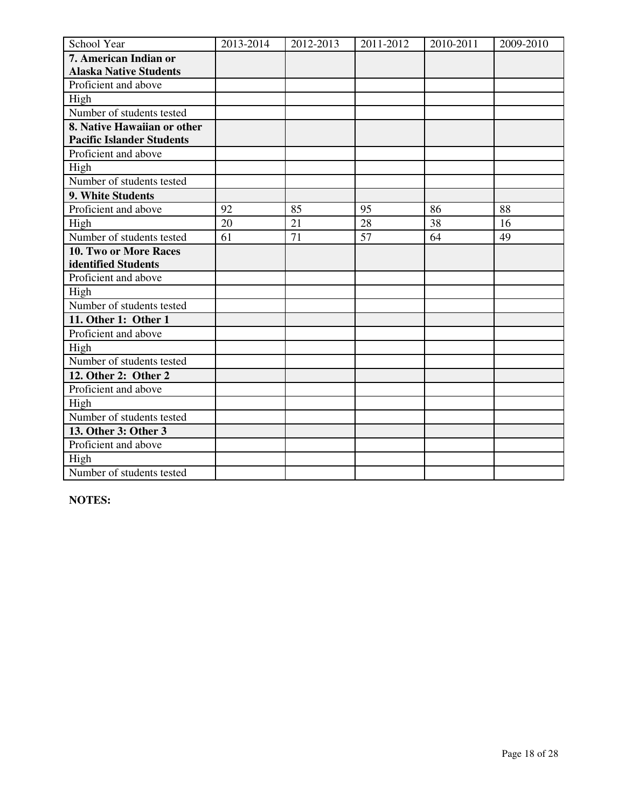| School Year                      | 2013-2014 | 2012-2013 | 2011-2012 | 2010-2011 | 2009-2010 |
|----------------------------------|-----------|-----------|-----------|-----------|-----------|
| 7. American Indian or            |           |           |           |           |           |
| <b>Alaska Native Students</b>    |           |           |           |           |           |
| Proficient and above             |           |           |           |           |           |
| High                             |           |           |           |           |           |
| Number of students tested        |           |           |           |           |           |
| 8. Native Hawaiian or other      |           |           |           |           |           |
| <b>Pacific Islander Students</b> |           |           |           |           |           |
| Proficient and above             |           |           |           |           |           |
| High                             |           |           |           |           |           |
| Number of students tested        |           |           |           |           |           |
| 9. White Students                |           |           |           |           |           |
| Proficient and above             | 92        | 85        | 95        | 86        | 88        |
| High                             | 20        | 21        | 28        | 38        | 16        |
| Number of students tested        | 61        | 71        | 57        | 64        | 49        |
| 10. Two or More Races            |           |           |           |           |           |
| identified Students              |           |           |           |           |           |
| Proficient and above             |           |           |           |           |           |
| High                             |           |           |           |           |           |
| Number of students tested        |           |           |           |           |           |
| 11. Other 1: Other 1             |           |           |           |           |           |
| Proficient and above             |           |           |           |           |           |
| High                             |           |           |           |           |           |
| Number of students tested        |           |           |           |           |           |
| 12. Other 2: Other 2             |           |           |           |           |           |
| Proficient and above             |           |           |           |           |           |
| High                             |           |           |           |           |           |
| Number of students tested        |           |           |           |           |           |
| 13. Other 3: Other 3             |           |           |           |           |           |
| Proficient and above             |           |           |           |           |           |
| High                             |           |           |           |           |           |
| Number of students tested        |           |           |           |           |           |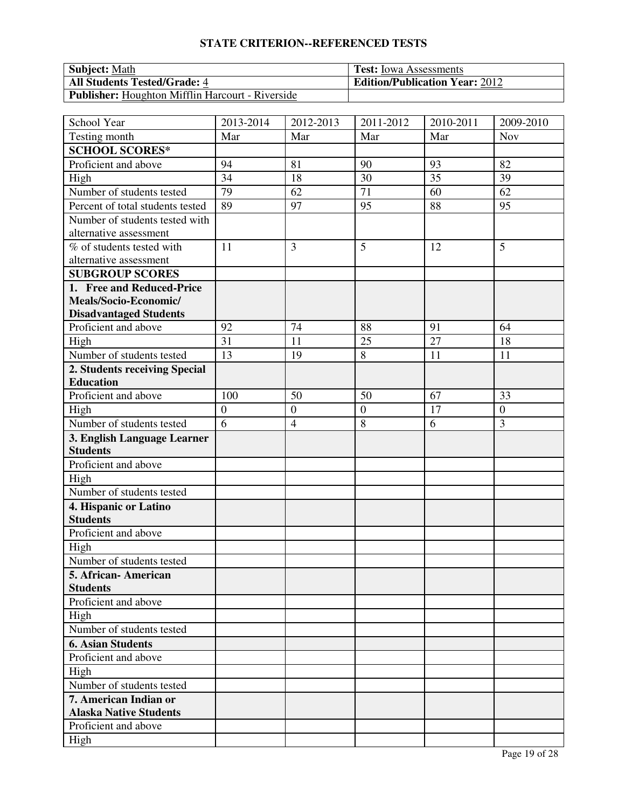| <b>Subject: Math</b>                                    | <b>Test:</b> Iowa Assessments         |
|---------------------------------------------------------|---------------------------------------|
| <b>All Students Tested/Grade: 4</b>                     | <b>Edition/Publication Year: 2012</b> |
| <b>Publisher:</b> Houghton Mifflin Harcourt - Riverside |                                       |

| School Year                      | 2013-2014        | 2012-2013        | 2011-2012        | 2010-2011 | $\overline{2009}$ -2010 |
|----------------------------------|------------------|------------------|------------------|-----------|-------------------------|
| Testing month                    | Mar              | Mar              | Mar              | Mar       | <b>Nov</b>              |
| <b>SCHOOL SCORES*</b>            |                  |                  |                  |           |                         |
| Proficient and above             | 94               | 81               | 90               | 93        | 82                      |
| High                             | 34               | 18               | 30               | 35        | 39                      |
| Number of students tested        | 79               | 62               | 71               | 60        | 62                      |
| Percent of total students tested | 89               | 97               | 95               | 88        | 95                      |
| Number of students tested with   |                  |                  |                  |           |                         |
| alternative assessment           |                  |                  |                  |           |                         |
| % of students tested with        | 11               | 3                | 5                | 12        | 5                       |
| alternative assessment           |                  |                  |                  |           |                         |
| <b>SUBGROUP SCORES</b>           |                  |                  |                  |           |                         |
| 1. Free and Reduced-Price        |                  |                  |                  |           |                         |
| Meals/Socio-Economic/            |                  |                  |                  |           |                         |
| <b>Disadvantaged Students</b>    |                  |                  |                  |           |                         |
| Proficient and above             | 92               | 74               | 88               | 91        | 64                      |
| High                             | 31               | 11               | 25               | 27        | 18                      |
| Number of students tested        | 13               | 19               | 8                | 11        | 11                      |
| 2. Students receiving Special    |                  |                  |                  |           |                         |
| <b>Education</b>                 |                  |                  |                  |           |                         |
| Proficient and above             | 100              | 50               | 50               | 67        | 33                      |
| High                             | $\boldsymbol{0}$ | $\boldsymbol{0}$ | $\boldsymbol{0}$ | 17        | $\boldsymbol{0}$        |
| Number of students tested        | $\overline{6}$   | $\overline{4}$   | 8                | 6         | 3                       |
| 3. English Language Learner      |                  |                  |                  |           |                         |
| <b>Students</b>                  |                  |                  |                  |           |                         |
| Proficient and above             |                  |                  |                  |           |                         |
| High                             |                  |                  |                  |           |                         |
| Number of students tested        |                  |                  |                  |           |                         |
| 4. Hispanic or Latino            |                  |                  |                  |           |                         |
| <b>Students</b>                  |                  |                  |                  |           |                         |
| Proficient and above             |                  |                  |                  |           |                         |
| High                             |                  |                  |                  |           |                         |
| Number of students tested        |                  |                  |                  |           |                         |
| 5. African- American             |                  |                  |                  |           |                         |
| <b>Students</b>                  |                  |                  |                  |           |                         |
| Proficient and above             |                  |                  |                  |           |                         |
| High                             |                  |                  |                  |           |                         |
| Number of students tested        |                  |                  |                  |           |                         |
| <b>6. Asian Students</b>         |                  |                  |                  |           |                         |
| Proficient and above             |                  |                  |                  |           |                         |
| High                             |                  |                  |                  |           |                         |
| Number of students tested        |                  |                  |                  |           |                         |
| 7. American Indian or            |                  |                  |                  |           |                         |
| <b>Alaska Native Students</b>    |                  |                  |                  |           |                         |
| Proficient and above             |                  |                  |                  |           |                         |
| High                             |                  |                  |                  |           |                         |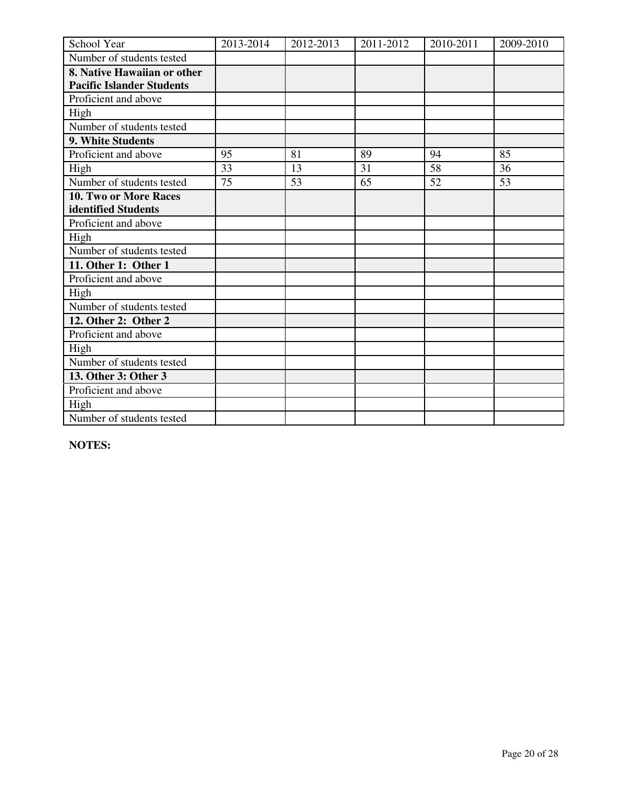| School Year                      | 2013-2014 | 2012-2013 | 2011-2012 | 2010-2011 | 2009-2010 |
|----------------------------------|-----------|-----------|-----------|-----------|-----------|
| Number of students tested        |           |           |           |           |           |
| 8. Native Hawaiian or other      |           |           |           |           |           |
| <b>Pacific Islander Students</b> |           |           |           |           |           |
| Proficient and above             |           |           |           |           |           |
| High                             |           |           |           |           |           |
| Number of students tested        |           |           |           |           |           |
| 9. White Students                |           |           |           |           |           |
| Proficient and above             | 95        | 81        | 89        | 94        | 85        |
| High                             | 33        | 13        | 31        | 58        | 36        |
| Number of students tested        | 75        | 53        | 65        | 52        | 53        |
| 10. Two or More Races            |           |           |           |           |           |
| identified Students              |           |           |           |           |           |
| Proficient and above             |           |           |           |           |           |
| High                             |           |           |           |           |           |
| Number of students tested        |           |           |           |           |           |
| 11. Other 1: Other 1             |           |           |           |           |           |
| Proficient and above             |           |           |           |           |           |
| High                             |           |           |           |           |           |
| Number of students tested        |           |           |           |           |           |
| 12. Other 2: Other 2             |           |           |           |           |           |
| Proficient and above             |           |           |           |           |           |
| High                             |           |           |           |           |           |
| Number of students tested        |           |           |           |           |           |
| 13. Other 3: Other 3             |           |           |           |           |           |
| Proficient and above             |           |           |           |           |           |
| High                             |           |           |           |           |           |
| Number of students tested        |           |           |           |           |           |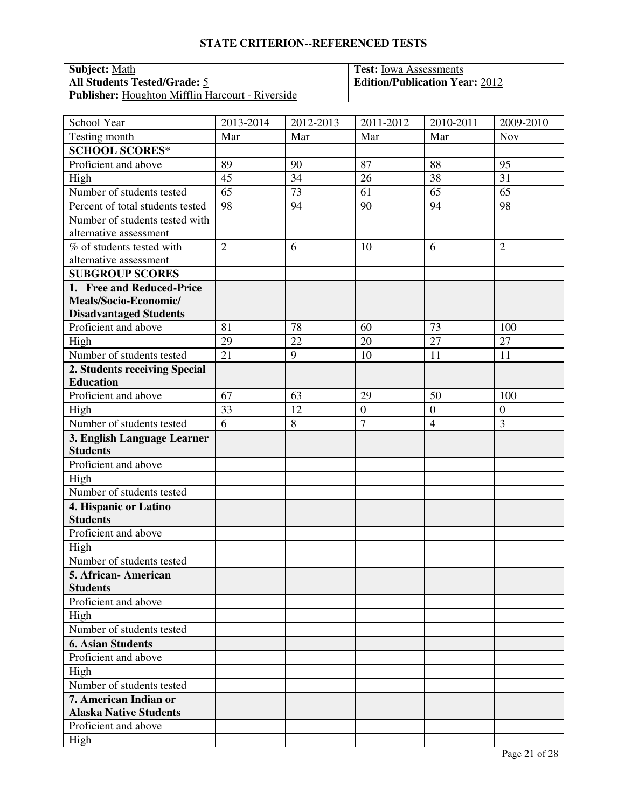| <b>Subject: Math</b>                                    | <b>Test:</b> Iowa Assessments         |
|---------------------------------------------------------|---------------------------------------|
| <b>All Students Tested/Grade: 5</b>                     | <b>Edition/Publication Year: 2012</b> |
| <b>Publisher:</b> Houghton Mifflin Harcourt - Riverside |                                       |

| School Year                                    | 2013-2014      | 2012-2013 | 2011-2012        | 2010-2011        | 2009-2010        |
|------------------------------------------------|----------------|-----------|------------------|------------------|------------------|
| Testing month                                  | Mar            | Mar       | Mar              | Mar              | <b>Nov</b>       |
| <b>SCHOOL SCORES*</b>                          |                |           |                  |                  |                  |
| Proficient and above                           | 89             | 90        | 87               | 88               | 95               |
| High                                           | 45             | 34        | 26               | 38               | 31               |
| Number of students tested                      | 65             | 73        | 61               | 65               | 65               |
| Percent of total students tested               | 98             | 94        | 90               | 94               | 98               |
| Number of students tested with                 |                |           |                  |                  |                  |
| alternative assessment                         |                |           |                  |                  |                  |
| % of students tested with                      | $\overline{2}$ | 6         | 10               | 6                | $\overline{2}$   |
| alternative assessment                         |                |           |                  |                  |                  |
| <b>SUBGROUP SCORES</b>                         |                |           |                  |                  |                  |
| 1. Free and Reduced-Price                      |                |           |                  |                  |                  |
| Meals/Socio-Economic/                          |                |           |                  |                  |                  |
| <b>Disadvantaged Students</b>                  |                |           |                  |                  |                  |
| Proficient and above                           | 81             | 78        | 60               | 73               | 100              |
| High                                           | 29             | 22        | 20               | 27               | 27               |
| Number of students tested                      | 21             | 9         | 10               | 11               | 11               |
| 2. Students receiving Special                  |                |           |                  |                  |                  |
| <b>Education</b>                               |                |           |                  |                  |                  |
| Proficient and above                           | 67             | 63        | 29               | 50               | 100              |
| High                                           | 33             | 12        | $\boldsymbol{0}$ | $\boldsymbol{0}$ | $\boldsymbol{0}$ |
| Number of students tested                      | 6              | $\,8\,$   | $\overline{7}$   | $\overline{4}$   | 3                |
| 3. English Language Learner<br><b>Students</b> |                |           |                  |                  |                  |
| Proficient and above                           |                |           |                  |                  |                  |
| High                                           |                |           |                  |                  |                  |
| Number of students tested                      |                |           |                  |                  |                  |
| 4. Hispanic or Latino                          |                |           |                  |                  |                  |
| <b>Students</b>                                |                |           |                  |                  |                  |
| Proficient and above                           |                |           |                  |                  |                  |
| High                                           |                |           |                  |                  |                  |
| Number of students tested                      |                |           |                  |                  |                  |
| 5. African- American                           |                |           |                  |                  |                  |
| <b>Students</b>                                |                |           |                  |                  |                  |
| Proficient and above                           |                |           |                  |                  |                  |
| High                                           |                |           |                  |                  |                  |
| Number of students tested                      |                |           |                  |                  |                  |
| <b>6. Asian Students</b>                       |                |           |                  |                  |                  |
| Proficient and above                           |                |           |                  |                  |                  |
| High                                           |                |           |                  |                  |                  |
| Number of students tested                      |                |           |                  |                  |                  |
| 7. American Indian or                          |                |           |                  |                  |                  |
| <b>Alaska Native Students</b>                  |                |           |                  |                  |                  |
| Proficient and above                           |                |           |                  |                  |                  |
| High                                           |                |           |                  |                  |                  |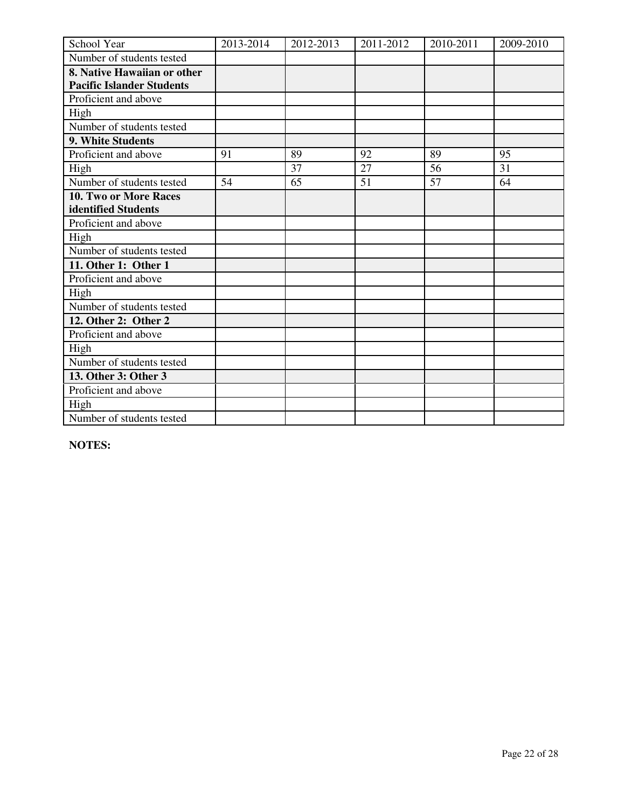| School Year                      | 2013-2014 | 2012-2013 | 2011-2012 | 2010-2011 | 2009-2010 |
|----------------------------------|-----------|-----------|-----------|-----------|-----------|
| Number of students tested        |           |           |           |           |           |
| 8. Native Hawaiian or other      |           |           |           |           |           |
| <b>Pacific Islander Students</b> |           |           |           |           |           |
| Proficient and above             |           |           |           |           |           |
| High                             |           |           |           |           |           |
| Number of students tested        |           |           |           |           |           |
| 9. White Students                |           |           |           |           |           |
| Proficient and above             | 91        | 89        | 92        | 89        | 95        |
| High                             |           | 37        | 27        | 56        | 31        |
| Number of students tested        | 54        | 65        | 51        | 57        | 64        |
| 10. Two or More Races            |           |           |           |           |           |
| identified Students              |           |           |           |           |           |
| Proficient and above             |           |           |           |           |           |
| High                             |           |           |           |           |           |
| Number of students tested        |           |           |           |           |           |
| 11. Other 1: Other 1             |           |           |           |           |           |
| Proficient and above             |           |           |           |           |           |
| High                             |           |           |           |           |           |
| Number of students tested        |           |           |           |           |           |
| 12. Other 2: Other 2             |           |           |           |           |           |
| Proficient and above             |           |           |           |           |           |
| High                             |           |           |           |           |           |
| Number of students tested        |           |           |           |           |           |
| 13. Other 3: Other 3             |           |           |           |           |           |
| Proficient and above             |           |           |           |           |           |
| High                             |           |           |           |           |           |
| Number of students tested        |           |           |           |           |           |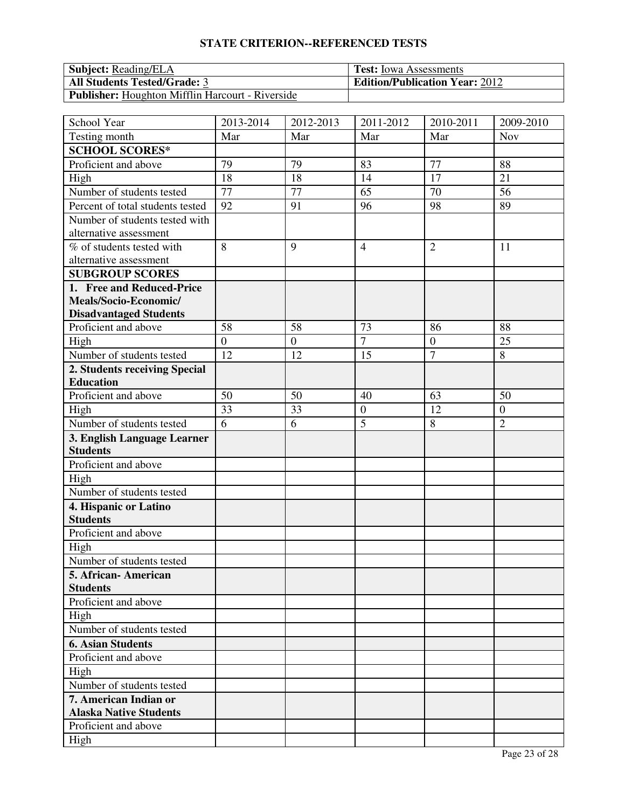| <b>Subject:</b> Reading/ELA                      | <b>Test:</b> Iowa Assessments         |
|--------------------------------------------------|---------------------------------------|
| <b>All Students Tested/Grade: 3</b>              | <b>Edition/Publication Year: 2012</b> |
| Publisher: Houghton Mifflin Harcourt - Riverside |                                       |

| School Year                                    | 2013-2014      | 2012-2013      | 2011-2012        | 2010-2011      | 2009-2010        |
|------------------------------------------------|----------------|----------------|------------------|----------------|------------------|
| Testing month                                  | Mar            | Mar            | Mar              | Mar            | <b>Nov</b>       |
| <b>SCHOOL SCORES*</b>                          |                |                |                  |                |                  |
| Proficient and above                           | 79             | 79             | 83               | 77             | 88               |
| High                                           | 18             | 18             | 14               | 17             | 21               |
| Number of students tested                      | 77             | 77             | 65               | 70             | 56               |
| Percent of total students tested               | 92             | 91             | 96               | 98             | 89               |
| Number of students tested with                 |                |                |                  |                |                  |
| alternative assessment                         |                |                |                  |                |                  |
| % of students tested with                      | 8              | 9              | $\overline{4}$   | $\overline{2}$ | 11               |
| alternative assessment                         |                |                |                  |                |                  |
| <b>SUBGROUP SCORES</b>                         |                |                |                  |                |                  |
| 1. Free and Reduced-Price                      |                |                |                  |                |                  |
| Meals/Socio-Economic/                          |                |                |                  |                |                  |
| <b>Disadvantaged Students</b>                  |                |                |                  |                |                  |
| Proficient and above                           | 58             | 58             | 73               | 86             | 88               |
| High                                           | $\overline{0}$ | $\overline{0}$ | $\overline{7}$   | $\overline{0}$ | 25               |
| Number of students tested                      | 12             | 12             | 15               | $\tau$         | 8                |
| 2. Students receiving Special                  |                |                |                  |                |                  |
| <b>Education</b>                               |                |                |                  |                |                  |
| Proficient and above                           | 50             | 50             | 40               | 63             | 50               |
| High                                           | 33             | 33             | $\boldsymbol{0}$ | 12             | $\boldsymbol{0}$ |
| Number of students tested                      | 6              | 6              | 5                | 8              | $\overline{2}$   |
| 3. English Language Learner<br><b>Students</b> |                |                |                  |                |                  |
| Proficient and above                           |                |                |                  |                |                  |
| High                                           |                |                |                  |                |                  |
| Number of students tested                      |                |                |                  |                |                  |
| 4. Hispanic or Latino                          |                |                |                  |                |                  |
| <b>Students</b>                                |                |                |                  |                |                  |
| Proficient and above                           |                |                |                  |                |                  |
| High                                           |                |                |                  |                |                  |
| Number of students tested                      |                |                |                  |                |                  |
| 5. African- American                           |                |                |                  |                |                  |
| <b>Students</b>                                |                |                |                  |                |                  |
| Proficient and above                           |                |                |                  |                |                  |
| High                                           |                |                |                  |                |                  |
| Number of students tested                      |                |                |                  |                |                  |
| <b>6. Asian Students</b>                       |                |                |                  |                |                  |
| Proficient and above                           |                |                |                  |                |                  |
| High                                           |                |                |                  |                |                  |
| Number of students tested                      |                |                |                  |                |                  |
| 7. American Indian or                          |                |                |                  |                |                  |
| <b>Alaska Native Students</b>                  |                |                |                  |                |                  |
| Proficient and above                           |                |                |                  |                |                  |
| High                                           |                |                |                  |                |                  |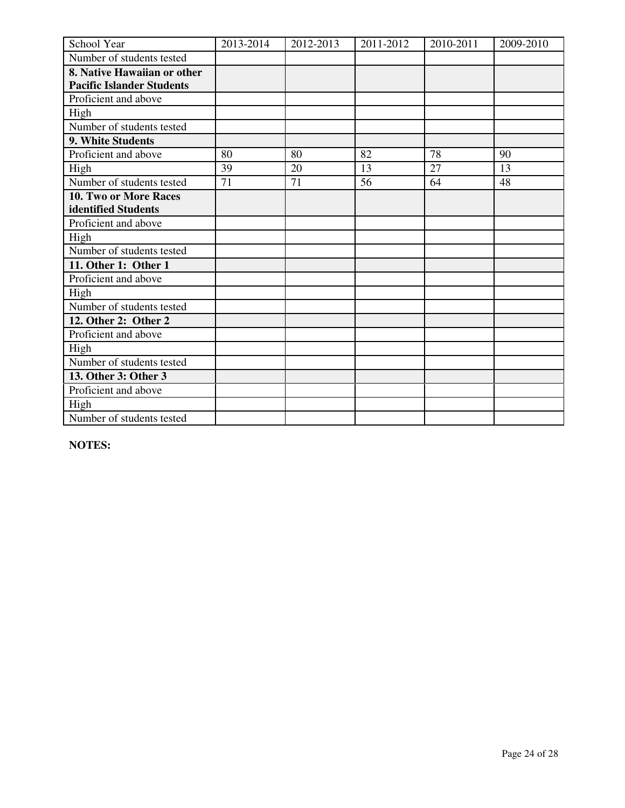| School Year                      | 2013-2014 | 2012-2013 | 2011-2012 | 2010-2011 | 2009-2010 |
|----------------------------------|-----------|-----------|-----------|-----------|-----------|
| Number of students tested        |           |           |           |           |           |
| 8. Native Hawaiian or other      |           |           |           |           |           |
| <b>Pacific Islander Students</b> |           |           |           |           |           |
| Proficient and above             |           |           |           |           |           |
| High                             |           |           |           |           |           |
| Number of students tested        |           |           |           |           |           |
| 9. White Students                |           |           |           |           |           |
| Proficient and above             | 80        | 80        | 82        | 78        | 90        |
| High                             | 39        | 20        | 13        | 27        | 13        |
| Number of students tested        | 71        | 71        | 56        | 64        | 48        |
| 10. Two or More Races            |           |           |           |           |           |
| identified Students              |           |           |           |           |           |
| Proficient and above             |           |           |           |           |           |
| High                             |           |           |           |           |           |
| Number of students tested        |           |           |           |           |           |
| 11. Other 1: Other 1             |           |           |           |           |           |
| Proficient and above             |           |           |           |           |           |
| High                             |           |           |           |           |           |
| Number of students tested        |           |           |           |           |           |
| 12. Other 2: Other 2             |           |           |           |           |           |
| Proficient and above             |           |           |           |           |           |
| High                             |           |           |           |           |           |
| Number of students tested        |           |           |           |           |           |
| 13. Other 3: Other 3             |           |           |           |           |           |
| Proficient and above             |           |           |           |           |           |
| High                             |           |           |           |           |           |
| Number of students tested        |           |           |           |           |           |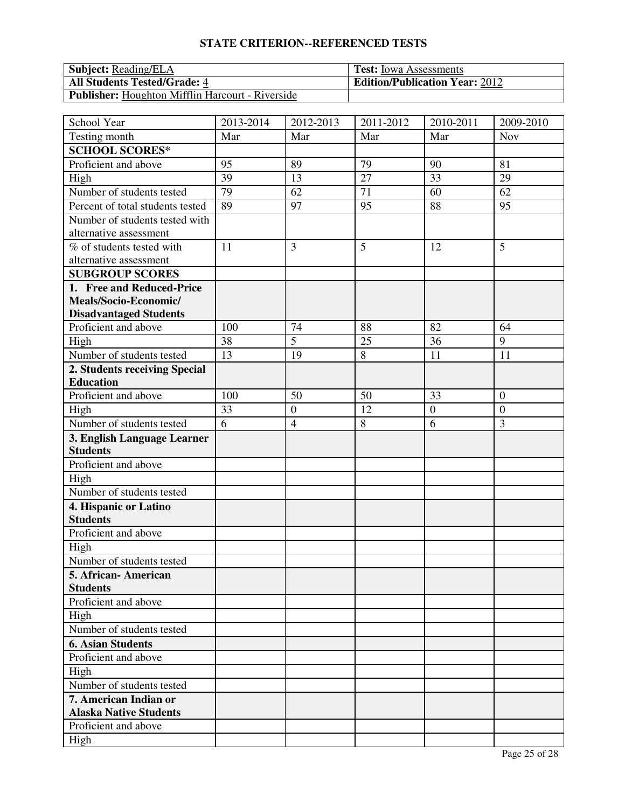| <b>Subject:</b> Reading/ELA                             | <b>Test:</b> Iowa Assessments         |
|---------------------------------------------------------|---------------------------------------|
| <b>All Students Tested/Grade: 4</b>                     | <b>Edition/Publication Year: 2012</b> |
| <b>Publisher:</b> Houghton Mifflin Harcourt - Riverside |                                       |

| School Year                      | 2013-2014 | 2012-2013        | 2011-2012 | 2010-2011    | 2009-2010        |
|----------------------------------|-----------|------------------|-----------|--------------|------------------|
| Testing month                    | Mar       | Mar              | Mar       | Mar          | <b>Nov</b>       |
| <b>SCHOOL SCORES*</b>            |           |                  |           |              |                  |
| Proficient and above             | 95        | 89               | 79        | 90           | 81               |
| High                             | 39        | 13               | 27        | 33           | 29               |
| Number of students tested        | 79        | 62               | 71        | 60           | 62               |
| Percent of total students tested | 89        | 97               | 95        | 88           | 95               |
| Number of students tested with   |           |                  |           |              |                  |
| alternative assessment           |           |                  |           |              |                  |
| % of students tested with        | 11        | 3                | 5         | 12           | 5                |
| alternative assessment           |           |                  |           |              |                  |
| <b>SUBGROUP SCORES</b>           |           |                  |           |              |                  |
| 1. Free and Reduced-Price        |           |                  |           |              |                  |
| Meals/Socio-Economic/            |           |                  |           |              |                  |
| <b>Disadvantaged Students</b>    |           |                  |           |              |                  |
| Proficient and above             | 100       | 74               | 88        | 82           | 64               |
| High                             | 38        | $\overline{5}$   | 25        | 36           | 9                |
| Number of students tested        | 13        | 19               | 8         | 11           | 11               |
| 2. Students receiving Special    |           |                  |           |              |                  |
| <b>Education</b>                 |           |                  |           |              |                  |
| Proficient and above             | 100       | 50               | 50        | 33           | $\overline{0}$   |
| High                             | 33        | $\boldsymbol{0}$ | 12        | $\mathbf{0}$ | $\boldsymbol{0}$ |
| Number of students tested        | 6         | $\overline{4}$   | 8         | 6            | 3                |
| 3. English Language Learner      |           |                  |           |              |                  |
| <b>Students</b>                  |           |                  |           |              |                  |
| Proficient and above             |           |                  |           |              |                  |
| High                             |           |                  |           |              |                  |
| Number of students tested        |           |                  |           |              |                  |
| 4. Hispanic or Latino            |           |                  |           |              |                  |
| <b>Students</b>                  |           |                  |           |              |                  |
| Proficient and above             |           |                  |           |              |                  |
| High                             |           |                  |           |              |                  |
| Number of students tested        |           |                  |           |              |                  |
| 5. African-American              |           |                  |           |              |                  |
| <b>Students</b>                  |           |                  |           |              |                  |
| Proficient and above             |           |                  |           |              |                  |
| High                             |           |                  |           |              |                  |
| Number of students tested        |           |                  |           |              |                  |
| <b>6. Asian Students</b>         |           |                  |           |              |                  |
| Proficient and above             |           |                  |           |              |                  |
| High                             |           |                  |           |              |                  |
| Number of students tested        |           |                  |           |              |                  |
| 7. American Indian or            |           |                  |           |              |                  |
| <b>Alaska Native Students</b>    |           |                  |           |              |                  |
| Proficient and above             |           |                  |           |              |                  |
| High                             |           |                  |           |              |                  |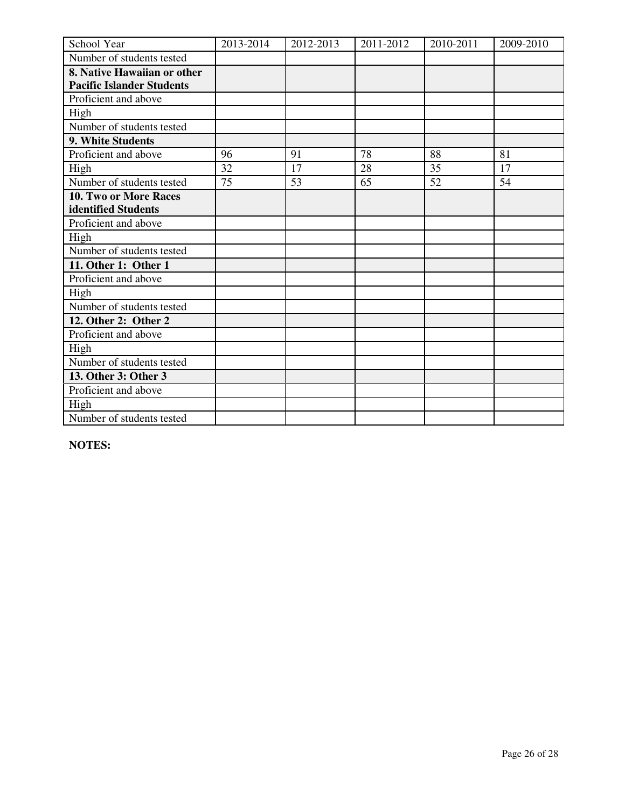| School Year                      | 2013-2014 | 2012-2013 | 2011-2012 | 2010-2011 | 2009-2010 |
|----------------------------------|-----------|-----------|-----------|-----------|-----------|
| Number of students tested        |           |           |           |           |           |
| 8. Native Hawaiian or other      |           |           |           |           |           |
| <b>Pacific Islander Students</b> |           |           |           |           |           |
| Proficient and above             |           |           |           |           |           |
| High                             |           |           |           |           |           |
| Number of students tested        |           |           |           |           |           |
| 9. White Students                |           |           |           |           |           |
| Proficient and above             | 96        | 91        | 78        | 88        | 81        |
| High                             | 32        | 17        | 28        | 35        | 17        |
| Number of students tested        | 75        | 53        | 65        | 52        | 54        |
| 10. Two or More Races            |           |           |           |           |           |
| identified Students              |           |           |           |           |           |
| Proficient and above             |           |           |           |           |           |
| High                             |           |           |           |           |           |
| Number of students tested        |           |           |           |           |           |
| 11. Other 1: Other 1             |           |           |           |           |           |
| Proficient and above             |           |           |           |           |           |
| High                             |           |           |           |           |           |
| Number of students tested        |           |           |           |           |           |
| 12. Other 2: Other 2             |           |           |           |           |           |
| Proficient and above             |           |           |           |           |           |
| High                             |           |           |           |           |           |
| Number of students tested        |           |           |           |           |           |
| 13. Other 3: Other 3             |           |           |           |           |           |
| Proficient and above             |           |           |           |           |           |
| High                             |           |           |           |           |           |
| Number of students tested        |           |           |           |           |           |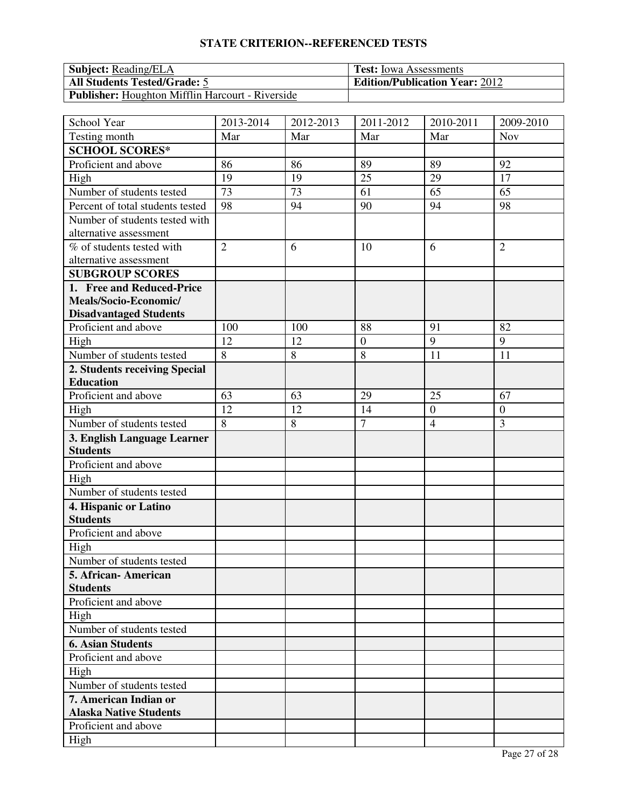| <b>Subject:</b> Reading/ELA                      | <b>Test:</b> Iowa Assessments         |
|--------------------------------------------------|---------------------------------------|
| <b>All Students Tested/Grade: 5</b>              | <b>Edition/Publication Year: 2012</b> |
| Publisher: Houghton Mifflin Harcourt - Riverside |                                       |

| School Year                      | 2013-2014       | 2012-2013 | 2011-2012        | 2010-2011        | 2009-2010        |
|----------------------------------|-----------------|-----------|------------------|------------------|------------------|
| Testing month                    | Mar             | Mar       | Mar              | Mar              | <b>Nov</b>       |
| <b>SCHOOL SCORES*</b>            |                 |           |                  |                  |                  |
| Proficient and above             | 86              | 86        | 89               | 89               | 92               |
| High                             | 19              | 19        | 25               | 29               | 17               |
| Number of students tested        | $\overline{73}$ | 73        | 61               | 65               | 65               |
| Percent of total students tested | 98              | 94        | 90               | 94               | 98               |
| Number of students tested with   |                 |           |                  |                  |                  |
| alternative assessment           |                 |           |                  |                  |                  |
| % of students tested with        | $\overline{2}$  | 6         | 10               | 6                | $\overline{2}$   |
| alternative assessment           |                 |           |                  |                  |                  |
| <b>SUBGROUP SCORES</b>           |                 |           |                  |                  |                  |
| 1. Free and Reduced-Price        |                 |           |                  |                  |                  |
| Meals/Socio-Economic/            |                 |           |                  |                  |                  |
| <b>Disadvantaged Students</b>    |                 |           |                  |                  |                  |
| Proficient and above             | 100             | 100       | 88               | 91               | 82               |
| High                             | 12              | 12        | $\boldsymbol{0}$ | 9                | 9                |
| Number of students tested        | 8               | $\,8\,$   | 8                | 11               | 11               |
| 2. Students receiving Special    |                 |           |                  |                  |                  |
| <b>Education</b>                 |                 |           |                  |                  |                  |
| Proficient and above             | 63              | 63        | 29               | 25               | 67               |
| High                             | 12              | 12        | 14               | $\boldsymbol{0}$ | $\boldsymbol{0}$ |
| Number of students tested        | 8               | $\,8\,$   | $\overline{7}$   | $\overline{4}$   | 3                |
| 3. English Language Learner      |                 |           |                  |                  |                  |
| <b>Students</b>                  |                 |           |                  |                  |                  |
| Proficient and above             |                 |           |                  |                  |                  |
| High                             |                 |           |                  |                  |                  |
| Number of students tested        |                 |           |                  |                  |                  |
| 4. Hispanic or Latino            |                 |           |                  |                  |                  |
| <b>Students</b>                  |                 |           |                  |                  |                  |
| Proficient and above             |                 |           |                  |                  |                  |
| High                             |                 |           |                  |                  |                  |
| Number of students tested        |                 |           |                  |                  |                  |
| 5. African- American             |                 |           |                  |                  |                  |
| <b>Students</b>                  |                 |           |                  |                  |                  |
| Proficient and above             |                 |           |                  |                  |                  |
| High                             |                 |           |                  |                  |                  |
| Number of students tested        |                 |           |                  |                  |                  |
| <b>6. Asian Students</b>         |                 |           |                  |                  |                  |
| Proficient and above             |                 |           |                  |                  |                  |
| High                             |                 |           |                  |                  |                  |
| Number of students tested        |                 |           |                  |                  |                  |
| 7. American Indian or            |                 |           |                  |                  |                  |
| <b>Alaska Native Students</b>    |                 |           |                  |                  |                  |
| Proficient and above             |                 |           |                  |                  |                  |
| High                             |                 |           |                  |                  |                  |